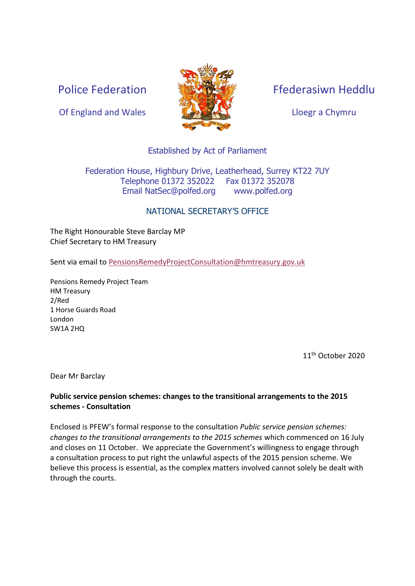Police Federation



Ffederasiwn Heddlu

Lloegr a Chymru

#### Established by Act of Parliament

Federation House, Highbury Drive, Leatherhead, Surrey KT22 7UY Telephone 01372 352022 Fax 01372 352078 Email NatSec@polfed.org [www.polfed.org](http://www.polfed.org/)

#### NATIONAL SECRETARY'S OFFICE

The Right Honourable Steve Barclay MP Chief Secretary to HM Treasury

Sent via email to [PensionsRemedyProjectConsultation@hmtreasury.gov.uk](mailto:PensionsRemedyProjectConsultation@hmtreasury.gov.uk)

Pensions Remedy Project Team HM Treasury 2/Red 1 Horse Guards Road London SW1A 2HQ

11th October 2020

Dear Mr Barclay

#### **Public service pension schemes: changes to the transitional arrangements to the 2015 schemes - Consultation**

Enclosed is PFEW's formal response to the consultation *Public service pension schemes: changes to the transitional arrangements to the 2015 schemes* which commenced on 16 July and closes on 11 October. We appreciate the Government's willingness to engage through a consultation process to put right the unlawful aspects of the 2015 pension scheme. We believe this process is essential, as the complex matters involved cannot solely be dealt with through the courts.

Of England and Wales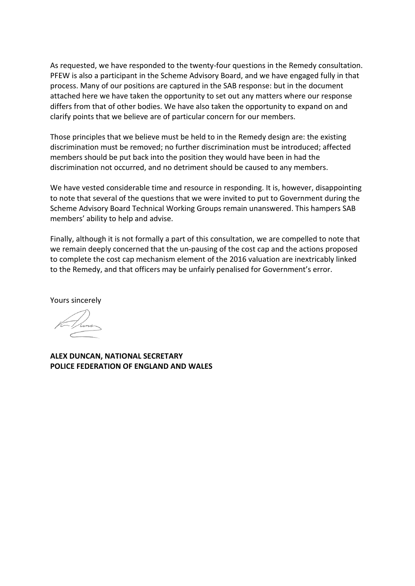As requested, we have responded to the twenty-four questions in the Remedy consultation. PFEW is also a participant in the Scheme Advisory Board, and we have engaged fully in that process. Many of our positions are captured in the SAB response: but in the document attached here we have taken the opportunity to set out any matters where our response differs from that of other bodies. We have also taken the opportunity to expand on and clarify points that we believe are of particular concern for our members.

Those principles that we believe must be held to in the Remedy design are: the existing discrimination must be removed; no further discrimination must be introduced; affected members should be put back into the position they would have been in had the discrimination not occurred, and no detriment should be caused to any members.

We have vested considerable time and resource in responding. It is, however, disappointing to note that several of the questions that we were invited to put to Government during the Scheme Advisory Board Technical Working Groups remain unanswered. This hampers SAB members' ability to help and advise.

Finally, although it is not formally a part of this consultation, we are compelled to note that we remain deeply concerned that the un-pausing of the cost cap and the actions proposed to complete the cost cap mechanism element of the 2016 valuation are inextricably linked to the Remedy, and that officers may be unfairly penalised for Government's error.

Yours sincerely

**ALEX DUNCAN, NATIONAL SECRETARY POLICE FEDERATION OF ENGLAND AND WALES**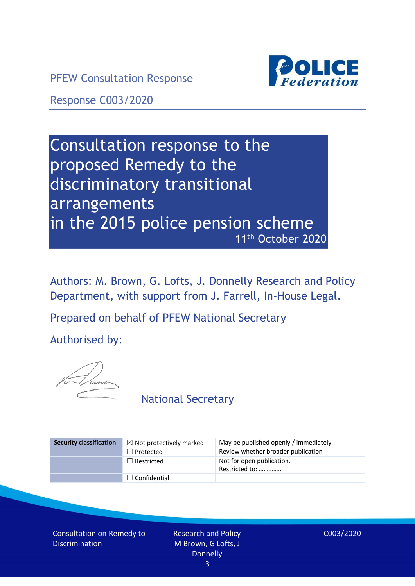PFEW Consultation Response



Response C003/2020

# Consultation response to the proposed Remedy to the discriminatory transitional arrangements in the 2015 police pension scheme 11th October 2020

Authors: M. Brown, G. Lofts, J. Donnelly Research and Policy Department, with support from J. Farrell, In-House Legal.

Prepared on behalf of PFEW National Secretary

Authorised by:



National Secretary

| <b>Security classification</b> | $\boxtimes$ Not protectively marked | May be published openly / immediately       |
|--------------------------------|-------------------------------------|---------------------------------------------|
|                                | $\Box$ Protected                    | Review whether broader publication          |
|                                | $\Box$ Restricted                   | Not for open publication.<br>Restricted to: |
|                                | $\Box$ Confidential                 |                                             |

Consultation on Remedy to Discrimination

Research and Policy M Brown, G Lofts, J Donnelly 3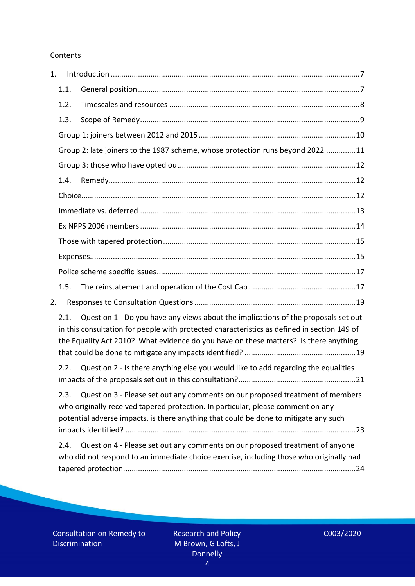#### Contents

| 1. |                                                                                |                                                                                                                                                                                                                                                                           |  |
|----|--------------------------------------------------------------------------------|---------------------------------------------------------------------------------------------------------------------------------------------------------------------------------------------------------------------------------------------------------------------------|--|
|    | 1.1.                                                                           |                                                                                                                                                                                                                                                                           |  |
|    | 1.2.                                                                           |                                                                                                                                                                                                                                                                           |  |
|    | 1.3.                                                                           |                                                                                                                                                                                                                                                                           |  |
|    |                                                                                |                                                                                                                                                                                                                                                                           |  |
|    | Group 2: late joiners to the 1987 scheme, whose protection runs beyond 2022 11 |                                                                                                                                                                                                                                                                           |  |
|    |                                                                                |                                                                                                                                                                                                                                                                           |  |
|    | 1.4.                                                                           |                                                                                                                                                                                                                                                                           |  |
|    |                                                                                |                                                                                                                                                                                                                                                                           |  |
|    |                                                                                |                                                                                                                                                                                                                                                                           |  |
|    |                                                                                |                                                                                                                                                                                                                                                                           |  |
|    |                                                                                |                                                                                                                                                                                                                                                                           |  |
|    |                                                                                |                                                                                                                                                                                                                                                                           |  |
|    |                                                                                |                                                                                                                                                                                                                                                                           |  |
|    | 1.5.                                                                           |                                                                                                                                                                                                                                                                           |  |
| 2. |                                                                                |                                                                                                                                                                                                                                                                           |  |
|    | 2.1.                                                                           | Question 1 - Do you have any views about the implications of the proposals set out<br>in this consultation for people with protected characteristics as defined in section 149 of<br>the Equality Act 2010? What evidence do you have on these matters? Is there anything |  |
|    | 2.2.                                                                           | Question 2 - Is there anything else you would like to add regarding the equalities                                                                                                                                                                                        |  |
|    | 2.3.                                                                           | Question 3 - Please set out any comments on our proposed treatment of members<br>who originally received tapered protection. In particular, please comment on any<br>potential adverse impacts. is there anything that could be done to mitigate any such                 |  |
|    | 2.4.                                                                           | Question 4 - Please set out any comments on our proposed treatment of anyone<br>who did not respond to an immediate choice exercise, including those who originally had                                                                                                   |  |

Consultation on Remedy to Discrimination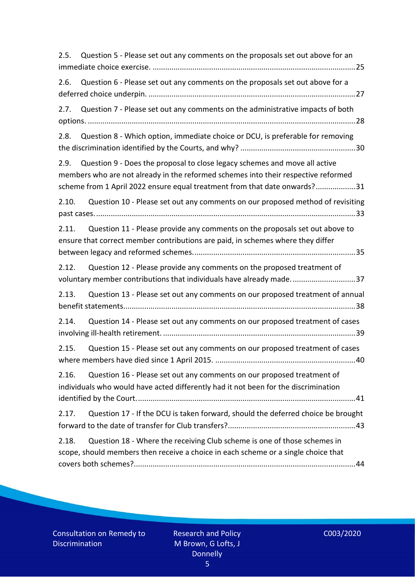| Question 5 - Please set out any comments on the proposals set out above for an<br>2.5.                                                                                                                                                                |  |  |  |  |
|-------------------------------------------------------------------------------------------------------------------------------------------------------------------------------------------------------------------------------------------------------|--|--|--|--|
| Question 6 - Please set out any comments on the proposals set out above for a<br>2.6.                                                                                                                                                                 |  |  |  |  |
| Question 7 - Please set out any comments on the administrative impacts of both<br>2.7.                                                                                                                                                                |  |  |  |  |
| 2.8.<br>Question 8 - Which option, immediate choice or DCU, is preferable for removing                                                                                                                                                                |  |  |  |  |
| Question 9 - Does the proposal to close legacy schemes and move all active<br>2.9.<br>members who are not already in the reformed schemes into their respective reformed<br>scheme from 1 April 2022 ensure equal treatment from that date onwards?31 |  |  |  |  |
| Question 10 - Please set out any comments on our proposed method of revisiting<br>2.10.                                                                                                                                                               |  |  |  |  |
| Question 11 - Please provide any comments on the proposals set out above to<br>2.11.<br>ensure that correct member contributions are paid, in schemes where they differ                                                                               |  |  |  |  |
| 2.12.<br>Question 12 - Please provide any comments on the proposed treatment of<br>voluntary member contributions that individuals have already made37                                                                                                |  |  |  |  |
| Question 13 - Please set out any comments on our proposed treatment of annual<br>2.13.                                                                                                                                                                |  |  |  |  |
| Question 14 - Please set out any comments on our proposed treatment of cases<br>2.14.                                                                                                                                                                 |  |  |  |  |
| Question 15 - Please set out any comments on our proposed treatment of cases<br>2.15.                                                                                                                                                                 |  |  |  |  |
| 2.16.<br>Question 16 - Please set out any comments on our proposed treatment of<br>individuals who would have acted differently had it not been for the discrimination                                                                                |  |  |  |  |
| Question 17 - If the DCU is taken forward, should the deferred choice be brought<br>2.17.                                                                                                                                                             |  |  |  |  |
| Question 18 - Where the receiving Club scheme is one of those schemes in<br>2.18.<br>scope, should members then receive a choice in each scheme or a single choice that                                                                               |  |  |  |  |

Consultation on Remedy to Discrimination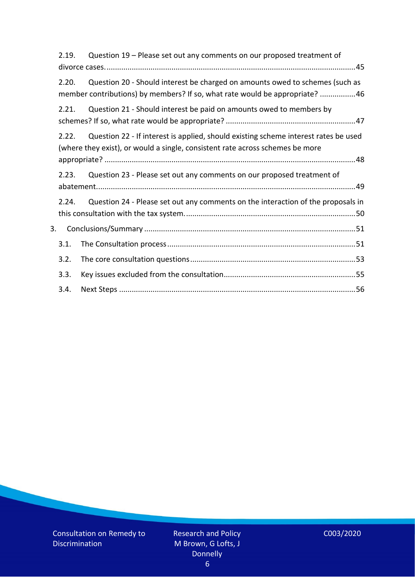|    | 2.19.                                                                                                                                                                         | Question 19 - Please set out any comments on our proposed treatment of                                                                                      |  |
|----|-------------------------------------------------------------------------------------------------------------------------------------------------------------------------------|-------------------------------------------------------------------------------------------------------------------------------------------------------------|--|
|    | 2.20.                                                                                                                                                                         | Question 20 - Should interest be charged on amounts owed to schemes (such as<br>member contributions) by members? If so, what rate would be appropriate? 46 |  |
|    | 2.21.                                                                                                                                                                         | Question 21 - Should interest be paid on amounts owed to members by                                                                                         |  |
|    | Question 22 - If interest is applied, should existing scheme interest rates be used<br>2.22.<br>(where they exist), or would a single, consistent rate across schemes be more |                                                                                                                                                             |  |
|    | 2.23.                                                                                                                                                                         | Question 23 - Please set out any comments on our proposed treatment of                                                                                      |  |
|    | 2.24.                                                                                                                                                                         | Question 24 - Please set out any comments on the interaction of the proposals in                                                                            |  |
| 3. |                                                                                                                                                                               |                                                                                                                                                             |  |
|    | 3.1.                                                                                                                                                                          |                                                                                                                                                             |  |
|    | 3.2.                                                                                                                                                                          |                                                                                                                                                             |  |
|    | 3.3.                                                                                                                                                                          |                                                                                                                                                             |  |
|    | 3.4.                                                                                                                                                                          |                                                                                                                                                             |  |

$$
COO3/2020
$$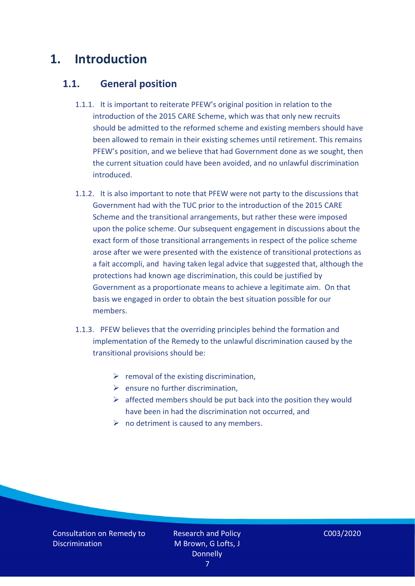# <span id="page-6-0"></span>**1. Introduction**

### <span id="page-6-1"></span>**1.1. General position**

- 1.1.1. It is important to reiterate PFEW's original position in relation to the introduction of the 2015 CARE Scheme, which was that only new recruits should be admitted to the reformed scheme and existing members should have been allowed to remain in their existing schemes until retirement. This remains PFEW's position, and we believe that had Government done as we sought, then the current situation could have been avoided, and no unlawful discrimination introduced.
- 1.1.2. It is also important to note that PFEW were not party to the discussions that Government had with the TUC prior to the introduction of the 2015 CARE Scheme and the transitional arrangements, but rather these were imposed upon the police scheme. Our subsequent engagement in discussions about the exact form of those transitional arrangements in respect of the police scheme arose after we were presented with the existence of transitional protections as a fait accompli, and having taken legal advice that suggested that, although the protections had known age discrimination, this could be justified by Government as a proportionate means to achieve a legitimate aim. On that basis we engaged in order to obtain the best situation possible for our members.
- 1.1.3. PFEW believes that the overriding principles behind the formation and implementation of the Remedy to the unlawful discrimination caused by the transitional provisions should be:
	- $\triangleright$  removal of the existing discrimination,
	- $\triangleright$  ensure no further discrimination,
	- $\triangleright$  affected members should be put back into the position they would have been in had the discrimination not occurred, and
	- $\triangleright$  no detriment is caused to any members.

Consultation on Remedy to **Discrimination** 

Research and Policy M Brown, G Lofts, J **Donnelly**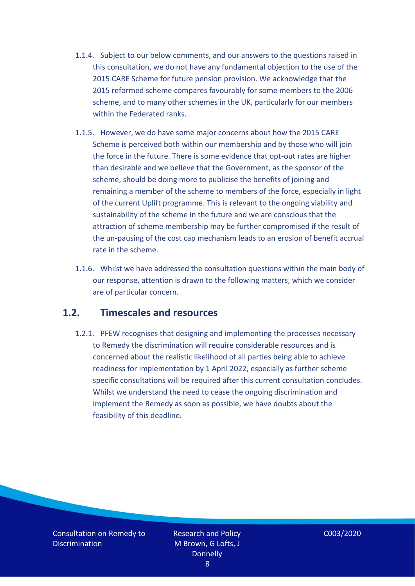- 1.1.4. Subject to our below comments, and our answers to the questions raised in this consultation, we do not have any fundamental objection to the use of the 2015 CARE Scheme for future pension provision. We acknowledge that the 2015 reformed scheme compares favourably for some members to the 2006 scheme, and to many other schemes in the UK, particularly for our members within the Federated ranks.
- 1.1.5. However, we do have some major concerns about how the 2015 CARE Scheme is perceived both within our membership and by those who will join the force in the future. There is some evidence that opt-out rates are higher than desirable and we believe that the Government, as the sponsor of the scheme, should be doing more to publicise the benefits of joining and remaining a member of the scheme to members of the force, especially in light of the current Uplift programme. This is relevant to the ongoing viability and sustainability of the scheme in the future and we are conscious that the attraction of scheme membership may be further compromised if the result of the un-pausing of the cost cap mechanism leads to an erosion of benefit accrual rate in the scheme.
- 1.1.6. Whilst we have addressed the consultation questions within the main body of our response, attention is drawn to the following matters, which we consider are of particular concern.

### <span id="page-7-0"></span>**1.2. Timescales and resources**

1.2.1. PFEW recognises that designing and implementing the processes necessary to Remedy the discrimination will require considerable resources and is concerned about the realistic likelihood of all parties being able to achieve readiness for implementation by 1 April 2022, especially as further scheme specific consultations will be required after this current consultation concludes. Whilst we understand the need to cease the ongoing discrimination and implement the Remedy as soon as possible, we have doubts about the feasibility of this deadline.

Consultation on Remedy to **Discrimination** 

Research and Policy M Brown, G Lofts, J **Donnelly** 8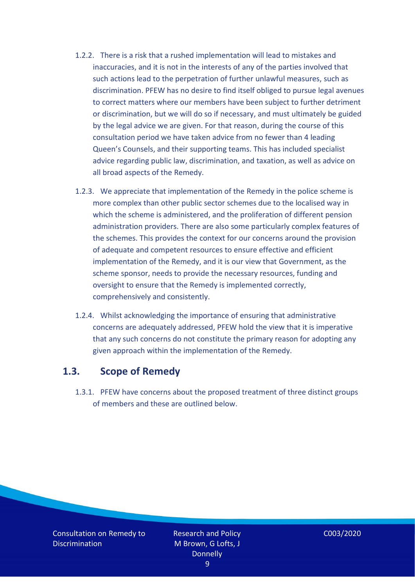- 1.2.2. There is a risk that a rushed implementation will lead to mistakes and inaccuracies, and it is not in the interests of any of the parties involved that such actions lead to the perpetration of further unlawful measures, such as discrimination. PFEW has no desire to find itself obliged to pursue legal avenues to correct matters where our members have been subject to further detriment or discrimination, but we will do so if necessary, and must ultimately be guided by the legal advice we are given. For that reason, during the course of this consultation period we have taken advice from no fewer than 4 leading Queen's Counsels, and their supporting teams. This has included specialist advice regarding public law, discrimination, and taxation, as well as advice on all broad aspects of the Remedy.
- 1.2.3. We appreciate that implementation of the Remedy in the police scheme is more complex than other public sector schemes due to the localised way in which the scheme is administered, and the proliferation of different pension administration providers. There are also some particularly complex features of the schemes. This provides the context for our concerns around the provision of adequate and competent resources to ensure effective and efficient implementation of the Remedy, and it is our view that Government, as the scheme sponsor, needs to provide the necessary resources, funding and oversight to ensure that the Remedy is implemented correctly, comprehensively and consistently.
- 1.2.4. Whilst acknowledging the importance of ensuring that administrative concerns are adequately addressed, PFEW hold the view that it is imperative that any such concerns do not constitute the primary reason for adopting any given approach within the implementation of the Remedy.

#### <span id="page-8-0"></span>**1.3. Scope of Remedy**

1.3.1. PFEW have concerns about the proposed treatment of three distinct groups of members and these are outlined below.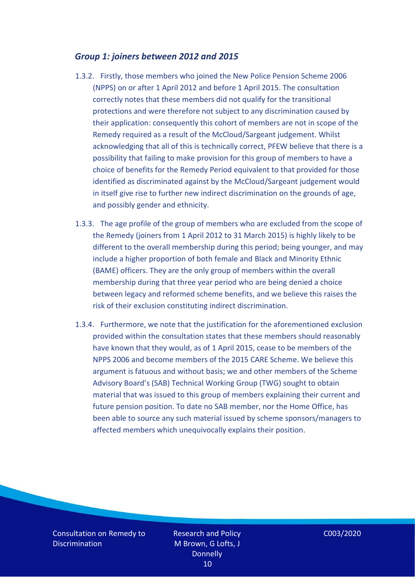#### <span id="page-9-0"></span>*Group 1: joiners between 2012 and 2015*

- 1.3.2. Firstly, those members who joined the New Police Pension Scheme 2006 (NPPS) on or after 1 April 2012 and before 1 April 2015. The consultation correctly notes that these members did not qualify for the transitional protections and were therefore not subject to any discrimination caused by their application: consequently this cohort of members are not in scope of the Remedy required as a result of the McCloud/Sargeant judgement. Whilst acknowledging that all of this is technically correct, PFEW believe that there is a possibility that failing to make provision for this group of members to have a choice of benefits for the Remedy Period equivalent to that provided for those identified as discriminated against by the McCloud/Sargeant judgement would in itself give rise to further new indirect discrimination on the grounds of age, and possibly gender and ethnicity.
- 1.3.3. The age profile of the group of members who are excluded from the scope of the Remedy (joiners from 1 April 2012 to 31 March 2015) is highly likely to be different to the overall membership during this period; being younger, and may include a higher proportion of both female and Black and Minority Ethnic (BAME) officers. They are the only group of members within the overall membership during that three year period who are being denied a choice between legacy and reformed scheme benefits, and we believe this raises the risk of their exclusion constituting indirect discrimination.
- 1.3.4. Furthermore, we note that the justification for the aforementioned exclusion provided within the consultation states that these members should reasonably have known that they would, as of 1 April 2015, cease to be members of the NPPS 2006 and become members of the 2015 CARE Scheme. We believe this argument is fatuous and without basis; we and other members of the Scheme Advisory Board's (SAB) Technical Working Group (TWG) sought to obtain material that was issued to this group of members explaining their current and future pension position. To date no SAB member, nor the Home Office, has been able to source any such material issued by scheme sponsors/managers to affected members which unequivocally explains their position.

Consultation on Remedy to **Discrimination** 

Research and Policy M Brown, G Lofts, J **Donnelly** 10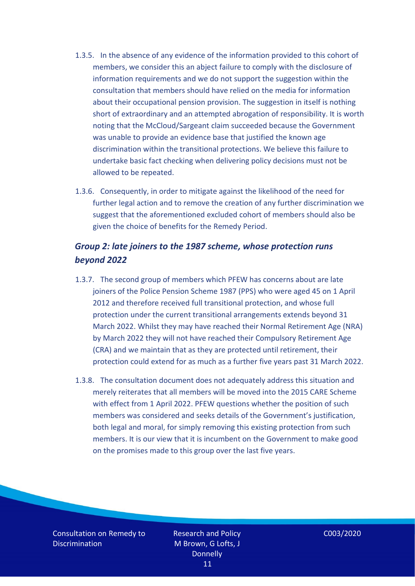- 1.3.5. In the absence of any evidence of the information provided to this cohort of members, we consider this an abject failure to comply with the disclosure of information requirements and we do not support the suggestion within the consultation that members should have relied on the media for information about their occupational pension provision. The suggestion in itself is nothing short of extraordinary and an attempted abrogation of responsibility. It is worth noting that the McCloud/Sargeant claim succeeded because the Government was unable to provide an evidence base that justified the known age discrimination within the transitional protections. We believe this failure to undertake basic fact checking when delivering policy decisions must not be allowed to be repeated.
- 1.3.6. Consequently, in order to mitigate against the likelihood of the need for further legal action and to remove the creation of any further discrimination we suggest that the aforementioned excluded cohort of members should also be given the choice of benefits for the Remedy Period.

### <span id="page-10-0"></span>*Group 2: late joiners to the 1987 scheme, whose protection runs beyond 2022*

- 1.3.7. The second group of members which PFEW has concerns about are late joiners of the Police Pension Scheme 1987 (PPS) who were aged 45 on 1 April 2012 and therefore received full transitional protection, and whose full protection under the current transitional arrangements extends beyond 31 March 2022. Whilst they may have reached their Normal Retirement Age (NRA) by March 2022 they will not have reached their Compulsory Retirement Age (CRA) and we maintain that as they are protected until retirement, their protection could extend for as much as a further five years past 31 March 2022.
- 1.3.8. The consultation document does not adequately address this situation and merely reiterates that all members will be moved into the 2015 CARE Scheme with effect from 1 April 2022. PFEW questions whether the position of such members was considered and seeks details of the Government's justification, both legal and moral, for simply removing this existing protection from such members. It is our view that it is incumbent on the Government to make good on the promises made to this group over the last five years.

Consultation on Remedy to **Discrimination** 

Research and Policy M Brown, G Lofts, J **Donnelly** 11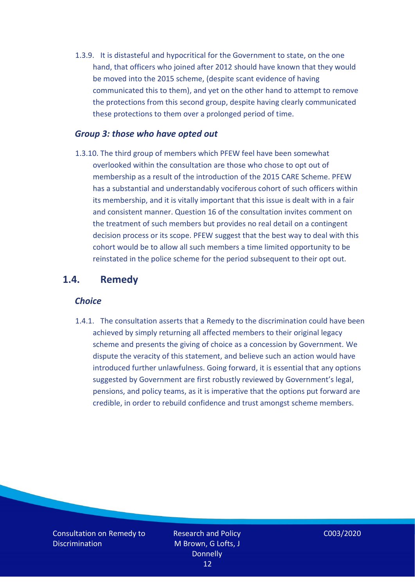1.3.9. It is distasteful and hypocritical for the Government to state, on the one hand, that officers who joined after 2012 should have known that they would be moved into the 2015 scheme, (despite scant evidence of having communicated this to them), and yet on the other hand to attempt to remove the protections from this second group, despite having clearly communicated these protections to them over a prolonged period of time.

#### <span id="page-11-0"></span>*Group 3: those who have opted out*

1.3.10. The third group of members which PFEW feel have been somewhat overlooked within the consultation are those who chose to opt out of membership as a result of the introduction of the 2015 CARE Scheme. PFEW has a substantial and understandably vociferous cohort of such officers within its membership, and it is vitally important that this issue is dealt with in a fair and consistent manner. Question 16 of the consultation invites comment on the treatment of such members but provides no real detail on a contingent decision process or its scope. PFEW suggest that the best way to deal with this cohort would be to allow all such members a time limited opportunity to be reinstated in the police scheme for the period subsequent to their opt out.

#### <span id="page-11-2"></span><span id="page-11-1"></span>**1.4. Remedy**

#### *Choice*

1.4.1. The consultation asserts that a Remedy to the discrimination could have been achieved by simply returning all affected members to their original legacy scheme and presents the giving of choice as a concession by Government. We dispute the veracity of this statement, and believe such an action would have introduced further unlawfulness. Going forward, it is essential that any options suggested by Government are first robustly reviewed by Government's legal, pensions, and policy teams, as it is imperative that the options put forward are credible, in order to rebuild confidence and trust amongst scheme members.

Consultation on Remedy to **Discrimination** 

Research and Policy M Brown, G Lofts, J **Donnelly** 12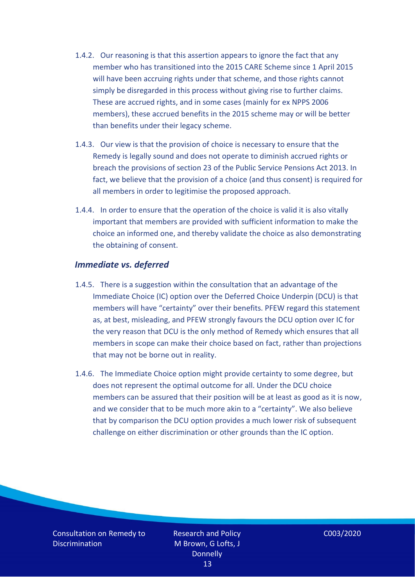- 1.4.2. Our reasoning is that this assertion appears to ignore the fact that any member who has transitioned into the 2015 CARE Scheme since 1 April 2015 will have been accruing rights under that scheme, and those rights cannot simply be disregarded in this process without giving rise to further claims. These are accrued rights, and in some cases (mainly for ex NPPS 2006 members), these accrued benefits in the 2015 scheme may or will be better than benefits under their legacy scheme.
- 1.4.3. Our view is that the provision of choice is necessary to ensure that the Remedy is legally sound and does not operate to diminish accrued rights or breach the provisions of section 23 of the Public Service Pensions Act 2013. In fact, we believe that the provision of a choice (and thus consent) is required for all members in order to legitimise the proposed approach.
- 1.4.4. In order to ensure that the operation of the choice is valid it is also vitally important that members are provided with sufficient information to make the choice an informed one, and thereby validate the choice as also demonstrating the obtaining of consent.

#### <span id="page-12-0"></span>*Immediate vs. deferred*

- 1.4.5. There is a suggestion within the consultation that an advantage of the Immediate Choice (IC) option over the Deferred Choice Underpin (DCU) is that members will have "certainty" over their benefits. PFEW regard this statement as, at best, misleading, and PFEW strongly favours the DCU option over IC for the very reason that DCU is the only method of Remedy which ensures that all members in scope can make their choice based on fact, rather than projections that may not be borne out in reality.
- 1.4.6. The Immediate Choice option might provide certainty to some degree, but does not represent the optimal outcome for all. Under the DCU choice members can be assured that their position will be at least as good as it is now, and we consider that to be much more akin to a "certainty". We also believe that by comparison the DCU option provides a much lower risk of subsequent challenge on either discrimination or other grounds than the IC option.

Consultation on Remedy to **Discrimination** 

Research and Policy M Brown, G Lofts, J **Donnelly** 13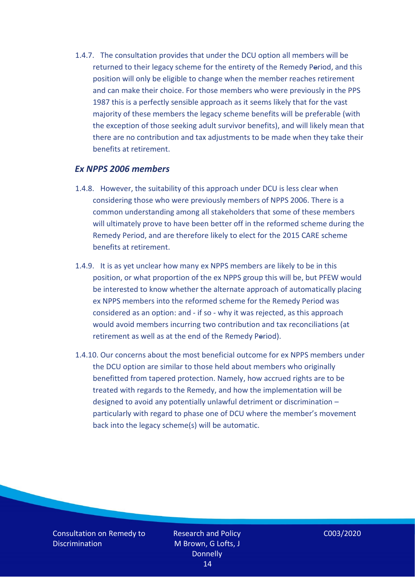1.4.7. The consultation provides that under the DCU option all members will be returned to their legacy scheme for the entirety of the Remedy Period, and this position will only be eligible to change when the member reaches retirement and can make their choice. For those members who were previously in the PPS 1987 this is a perfectly sensible approach as it seems likely that for the vast majority of these members the legacy scheme benefits will be preferable (with the exception of those seeking adult survivor benefits), and will likely mean that there are no contribution and tax adjustments to be made when they take their benefits at retirement.

#### <span id="page-13-0"></span>*Ex NPPS 2006 members*

- 1.4.8. However, the suitability of this approach under DCU is less clear when considering those who were previously members of NPPS 2006. There is a common understanding among all stakeholders that some of these members will ultimately prove to have been better off in the reformed scheme during the Remedy Period, and are therefore likely to elect for the 2015 CARE scheme benefits at retirement.
- 1.4.9. It is as yet unclear how many ex NPPS members are likely to be in this position, or what proportion of the ex NPPS group this will be, but PFEW would be interested to know whether the alternate approach of automatically placing ex NPPS members into the reformed scheme for the Remedy Period was considered as an option: and - if so - why it was rejected, as this approach would avoid members incurring two contribution and tax reconciliations (at retirement as well as at the end of the Remedy Period).
- 1.4.10. Our concerns about the most beneficial outcome for ex NPPS members under the DCU option are similar to those held about members who originally benefitted from tapered protection. Namely, how accrued rights are to be treated with regards to the Remedy, and how the implementation will be designed to avoid any potentially unlawful detriment or discrimination – particularly with regard to phase one of DCU where the member's movement back into the legacy scheme(s) will be automatic.

Consultation on Remedy to **Discrimination** 

Research and Policy M Brown, G Lofts, J **Donnelly** 14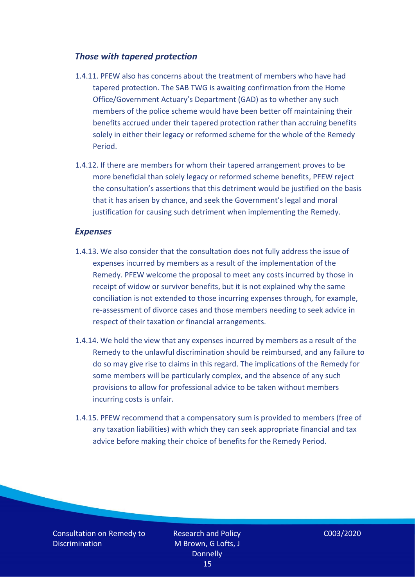#### <span id="page-14-0"></span>*Those with tapered protection*

- 1.4.11. PFEW also has concerns about the treatment of members who have had tapered protection. The SAB TWG is awaiting confirmation from the Home Office/Government Actuary's Department (GAD) as to whether any such members of the police scheme would have been better off maintaining their benefits accrued under their tapered protection rather than accruing benefits solely in either their legacy or reformed scheme for the whole of the Remedy Period.
- 1.4.12. If there are members for whom their tapered arrangement proves to be more beneficial than solely legacy or reformed scheme benefits, PFEW reject the consultation's assertions that this detriment would be justified on the basis that it has arisen by chance, and seek the Government's legal and moral justification for causing such detriment when implementing the Remedy.

#### <span id="page-14-1"></span>*Expenses*

- 1.4.13. We also consider that the consultation does not fully address the issue of expenses incurred by members as a result of the implementation of the Remedy. PFEW welcome the proposal to meet any costs incurred by those in receipt of widow or survivor benefits, but it is not explained why the same conciliation is not extended to those incurring expenses through, for example, re-assessment of divorce cases and those members needing to seek advice in respect of their taxation or financial arrangements.
- 1.4.14. We hold the view that any expenses incurred by members as a result of the Remedy to the unlawful discrimination should be reimbursed, and any failure to do so may give rise to claims in this regard. The implications of the Remedy for some members will be particularly complex, and the absence of any such provisions to allow for professional advice to be taken without members incurring costs is unfair.
- 1.4.15. PFEW recommend that a compensatory sum is provided to members (free of any taxation liabilities) with which they can seek appropriate financial and tax advice before making their choice of benefits for the Remedy Period.

Consultation on Remedy to **Discrimination**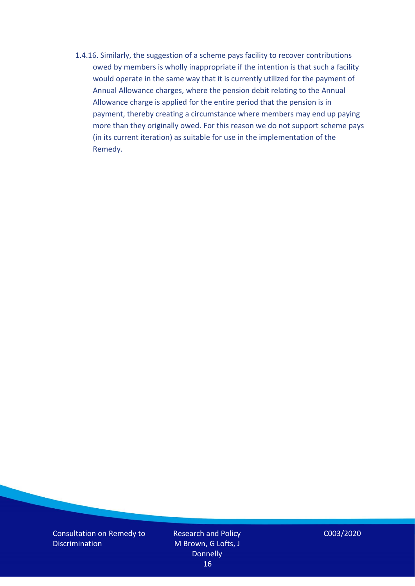1.4.16. Similarly, the suggestion of a scheme pays facility to recover contributions owed by members is wholly inappropriate if the intention is that such a facility would operate in the same way that it is currently utilized for the payment of Annual Allowance charges, where the pension debit relating to the Annual Allowance charge is applied for the entire period that the pension is in payment, thereby creating a circumstance where members may end up paying more than they originally owed. For this reason we do not support scheme pays (in its current iteration) as suitable for use in the implementation of the Remedy.

Consultation on Remedy to **Discrimination** 

Research and Policy M Brown, G Lofts, J **Donnelly** 16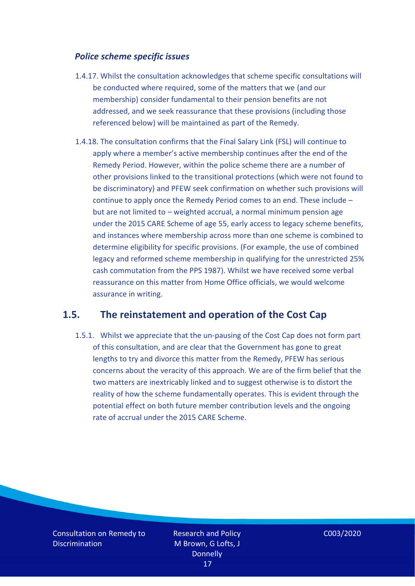#### <span id="page-16-0"></span>*Police scheme specific issues*

- 1.4.17. Whilst the consultation acknowledges that scheme specific consultations will be conducted where required, some of the matters that we (and our membership) consider fundamental to their pension benefits are not addressed, and we seek reassurance that these provisions (including those referenced below) will be maintained as part of the Remedy.
- 1.4.18. The consultation confirms that the Final Salary Link (FSL) will continue to apply where a member's active membership continues after the end of the Remedy Period. However, within the police scheme there are a number of other provisions linked to the transitional protections (which were not found to be discriminatory) and PFEW seek confirmation on whether such provisions will continue to apply once the Remedy Period comes to an end. These include – but are not limited to – weighted accrual, a normal minimum pension age under the 2015 CARE Scheme of age 55, early access to legacy scheme benefits, and instances where membership across more than one scheme is combined to determine eligibility for specific provisions. (For example, the use of combined legacy and reformed scheme membership in qualifying for the unrestricted 25% cash commutation from the PPS 1987). Whilst we have received some verbal reassurance on this matter from Home Office officials, we would welcome assurance in writing.

### <span id="page-16-1"></span>**1.5. The reinstatement and operation of the Cost Cap**

1.5.1. Whilst we appreciate that the un-pausing of the Cost Cap does not form part of this consultation, and are clear that the Government has gone to great lengths to try and divorce this matter from the Remedy, PFEW has serious concerns about the veracity of this approach. We are of the firm belief that the two matters are inextricably linked and to suggest otherwise is to distort the reality of how the scheme fundamentally operates. This is evident through the potential effect on both future member contribution levels and the ongoing rate of accrual under the 2015 CARE Scheme.

Consultation on Remedy to **Discrimination**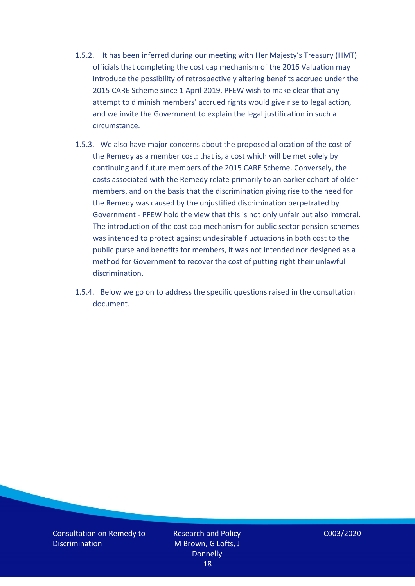- 1.5.2. It has been inferred during our meeting with Her Majesty's Treasury (HMT) officials that completing the cost cap mechanism of the 2016 Valuation may introduce the possibility of retrospectively altering benefits accrued under the 2015 CARE Scheme since 1 April 2019. PFEW wish to make clear that any attempt to diminish members' accrued rights would give rise to legal action, and we invite the Government to explain the legal justification in such a circumstance.
- 1.5.3. We also have major concerns about the proposed allocation of the cost of the Remedy as a member cost: that is, a cost which will be met solely by continuing and future members of the 2015 CARE Scheme. Conversely, the costs associated with the Remedy relate primarily to an earlier cohort of older members, and on the basis that the discrimination giving rise to the need for the Remedy was caused by the unjustified discrimination perpetrated by Government - PFEW hold the view that this is not only unfair but also immoral. The introduction of the cost cap mechanism for public sector pension schemes was intended to protect against undesirable fluctuations in both cost to the public purse and benefits for members, it was not intended nor designed as a method for Government to recover the cost of putting right their unlawful discrimination.
- 1.5.4. Below we go on to address the specific questions raised in the consultation document.

Consultation on Remedy to **Discrimination** 

Research and Policy M Brown, G Lofts, J **Donnelly** 18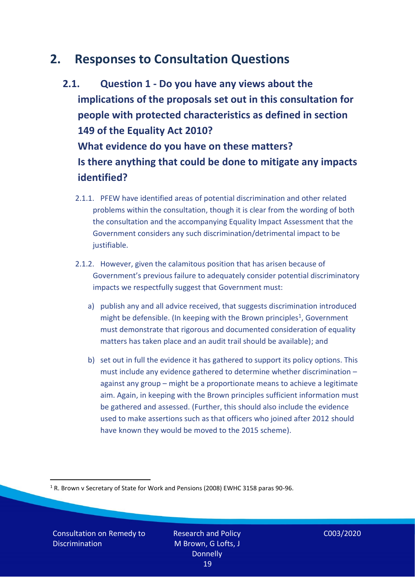# <span id="page-18-0"></span>**2. Responses to Consultation Questions**

- <span id="page-18-1"></span>**2.1. Question 1 - Do you have any views about the implications of the proposals set out in this consultation for people with protected characteristics as defined in section 149 of the Equality Act 2010? What evidence do you have on these matters? Is there anything that could be done to mitigate any impacts identified?** 
	- 2.1.1. PFEW have identified areas of potential discrimination and other related problems within the consultation, though it is clear from the wording of both the consultation and the accompanying Equality Impact Assessment that the Government considers any such discrimination/detrimental impact to be justifiable.
	- 2.1.2. However, given the calamitous position that has arisen because of Government's previous failure to adequately consider potential discriminatory impacts we respectfully suggest that Government must:
		- a) publish any and all advice received, that suggests discrimination introduced might be defensible. (In keeping with the Brown principles<sup>1</sup>, Government must demonstrate that rigorous and documented consideration of equality matters has taken place and an audit trail should be available); and
		- b) set out in full the evidence it has gathered to support its policy options. This must include any evidence gathered to determine whether discrimination – against any group – might be a proportionate means to achieve a legitimate aim. Again, in keeping with the Brown principles sufficient information must be gathered and assessed. (Further, this should also include the evidence used to make assertions such as that officers who joined after 2012 should have known they would be moved to the 2015 scheme).

<sup>1</sup> R. Brown v Secretary of State for Work and Pensions (2008) EWHC 3158 paras 90-96.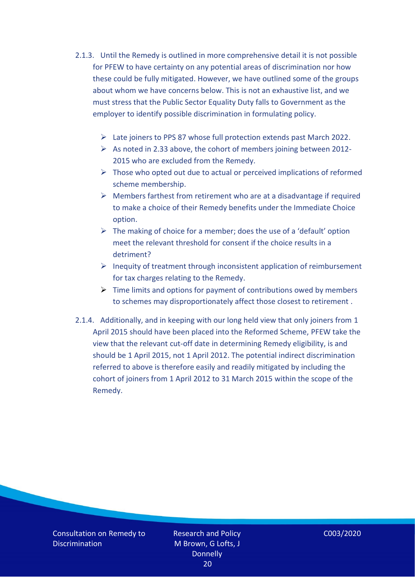- 2.1.3. Until the Remedy is outlined in more comprehensive detail it is not possible for PFEW to have certainty on any potential areas of discrimination nor how these could be fully mitigated. However, we have outlined some of the groups about whom we have concerns below. This is not an exhaustive list, and we must stress that the Public Sector Equality Duty falls to Government as the employer to identify possible discrimination in formulating policy.
	- ➢ Late joiners to PPS 87 whose full protection extends past March 2022.
	- $\triangleright$  As noted in 2.33 above, the cohort of members joining between 2012-2015 who are excluded from the Remedy.
	- $\triangleright$  Those who opted out due to actual or perceived implications of reformed scheme membership.
	- $\triangleright$  Members farthest from retirement who are at a disadvantage if required to make a choice of their Remedy benefits under the Immediate Choice option.
	- $\triangleright$  The making of choice for a member; does the use of a 'default' option meet the relevant threshold for consent if the choice results in a detriment?
	- ➢ Inequity of treatment through inconsistent application of reimbursement for tax charges relating to the Remedy.
	- $\triangleright$  Time limits and options for payment of contributions owed by members to schemes may disproportionately affect those closest to retirement .
- 2.1.4. Additionally, and in keeping with our long held view that only joiners from 1 April 2015 should have been placed into the Reformed Scheme, PFEW take the view that the relevant cut-off date in determining Remedy eligibility, is and should be 1 April 2015, not 1 April 2012. The potential indirect discrimination referred to above is therefore easily and readily mitigated by including the cohort of joiners from 1 April 2012 to 31 March 2015 within the scope of the Remedy.

Consultation on Remedy to **Discrimination** 

Research and Policy M Brown, G Lofts, J **Donnelly** 20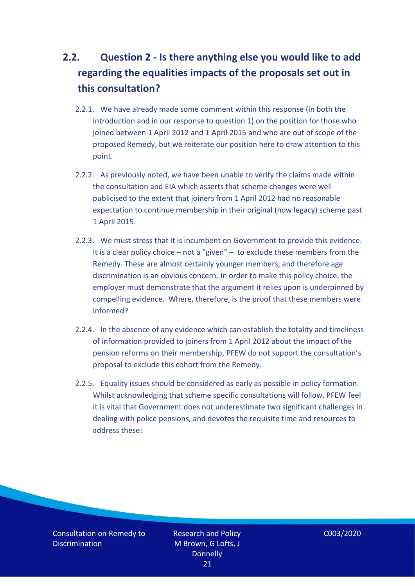# <span id="page-20-0"></span>**2.2. Question 2 - Is there anything else you would like to add regarding the equalities impacts of the proposals set out in this consultation?**

- 2.2.1. We have already made some comment within this response (in both the introduction and in our response to question 1) on the position for those who joined between 1 April 2012 and 1 April 2015 and who are out of scope of the proposed Remedy, but we reiterate our position here to draw attention to this point.
- 2.2.2. As previously noted, we have been unable to verify the claims made within the consultation and EIA which asserts that scheme changes were well publicised to the extent that joiners from 1 April 2012 had no reasonable expectation to continue membership in their original (now legacy) scheme past 1 April 2015.
- 2.2.3. We must stress that it is incumbent on Government to provide this evidence. It is a clear policy choice – not a "given" – to exclude these members from the Remedy. These are almost certainly younger members, and therefore age discrimination is an obvious concern. In order to make this policy choice, the employer must demonstrate that the argument it relies upon is underpinned by compelling evidence. Where, therefore, is the proof that these members were informed?
- 2.2.4. In the absence of any evidence which can establish the totality and timeliness of information provided to joiners from 1 April 2012 about the impact of the pension reforms on their membership, PFEW do not support the consultation's proposal to exclude this cohort from the Remedy.
- 2.2.5. Equality issues should be considered as early as possible in policy formation. Whilst acknowledging that scheme specific consultations will follow, PFEW feel it is vital that Government does not underestimate two significant challenges in dealing with police pensions, and devotes the requisite time and resources to address these:

Consultation on Remedy to **Discrimination**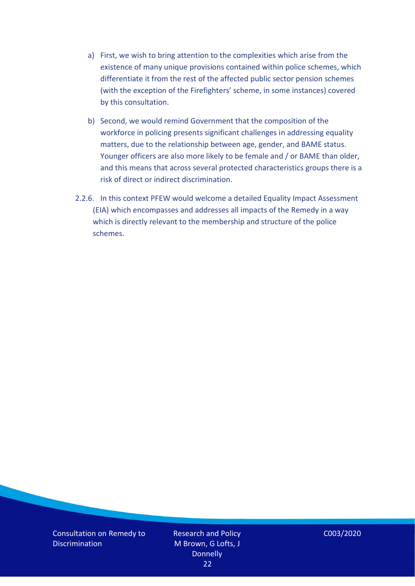- a) First, we wish to bring attention to the complexities which arise from the existence of many unique provisions contained within police schemes, which differentiate it from the rest of the affected public sector pension schemes (with the exception of the Firefighters' scheme, in some instances) covered by this consultation.
- b) Second, we would remind Government that the composition of the workforce in policing presents significant challenges in addressing equality matters, due to the relationship between age, gender, and BAME status. Younger officers are also more likely to be female and / or BAME than older, and this means that across several protected characteristics groups there is a risk of direct or indirect discrimination.
- 2.2.6. In this context PFEW would welcome a detailed Equality Impact Assessment (EIA) which encompasses and addresses all impacts of the Remedy in a way which is directly relevant to the membership and structure of the police schemes.

Consultation on Remedy to **Discrimination** 

Research and Policy M Brown, G Lofts, J **Donnelly** 22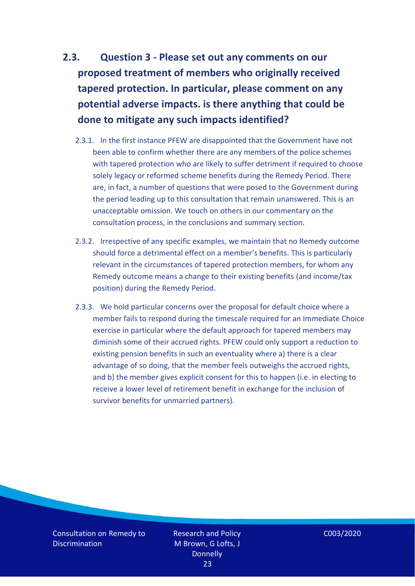# <span id="page-22-0"></span>**2.3. Question 3 - Please set out any comments on our proposed treatment of members who originally received tapered protection. In particular, please comment on any potential adverse impacts. is there anything that could be done to mitigate any such impacts identified?**

- 2.3.1. In the first instance PFEW are disappointed that the Government have not been able to confirm whether there are any members of the police schemes with tapered protection who are likely to suffer detriment if required to choose solely legacy or reformed scheme benefits during the Remedy Period. There are, in fact, a number of questions that were posed to the Government during the period leading up to this consultation that remain unanswered. This is an unacceptable omission. We touch on others in our commentary on the consultation process, in the conclusions and summary section.
- 2.3.2. Irrespective of any specific examples, we maintain that no Remedy outcome should force a detrimental effect on a member's benefits. This is particularly relevant in the circumstances of tapered protection members, for whom any Remedy outcome means a change to their existing benefits (and income/tax position) during the Remedy Period.
- 2.3.3. We hold particular concerns over the proposal for default choice where a member fails to respond during the timescale required for an Immediate Choice exercise in particular where the default approach for tapered members may diminish some of their accrued rights. PFEW could only support a reduction to existing pension benefits in such an eventuality where a) there is a clear advantage of so doing, that the member feels outweighs the accrued rights, and b) the member gives explicit consent for this to happen (i.e. in electing to receive a lower level of retirement benefit in exchange for the inclusion of survivor benefits for unmarried partners).

Consultation on Remedy to **Discrimination**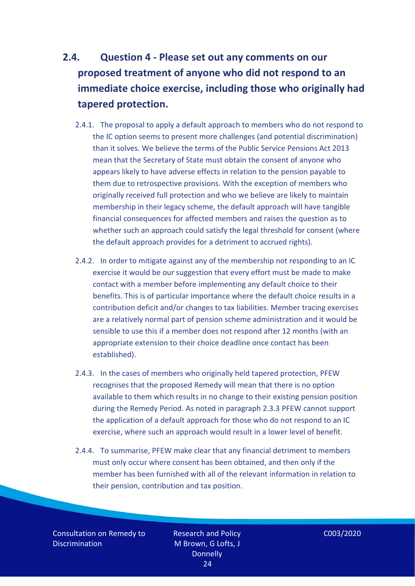# <span id="page-23-0"></span>**2.4. Question 4 - Please set out any comments on our proposed treatment of anyone who did not respond to an immediate choice exercise, including those who originally had tapered protection.**

- 2.4.1. The proposal to apply a default approach to members who do not respond to the IC option seems to present more challenges (and potential discrimination) than it solves. We believe the terms of the Public Service Pensions Act 2013 mean that the Secretary of State must obtain the consent of anyone who appears likely to have adverse effects in relation to the pension payable to them due to retrospective provisions. With the exception of members who originally received full protection and who we believe are likely to maintain membership in their legacy scheme, the default approach will have tangible financial consequences for affected members and raises the question as to whether such an approach could satisfy the legal threshold for consent (where the default approach provides for a detriment to accrued rights).
- 2.4.2. In order to mitigate against any of the membership not responding to an IC exercise it would be our suggestion that every effort must be made to make contact with a member before implementing any default choice to their benefits. This is of particular importance where the default choice results in a contribution deficit and/or changes to tax liabilities. Member tracing exercises are a relatively normal part of pension scheme administration and it would be sensible to use this if a member does not respond after 12 months (with an appropriate extension to their choice deadline once contact has been established).
- 2.4.3. In the cases of members who originally held tapered protection, PFEW recognises that the proposed Remedy will mean that there is no option available to them which results in no change to their existing pension position during the Remedy Period. As noted in paragraph 2.3.3 PFEW cannot support the application of a default approach for those who do not respond to an IC exercise, where such an approach would result in a lower level of benefit.
- 2.4.4. To summarise, PFEW make clear that any financial detriment to members must only occur where consent has been obtained, and then only if the member has been furnished with all of the relevant information in relation to their pension, contribution and tax position.

Consultation on Remedy to **Discrimination**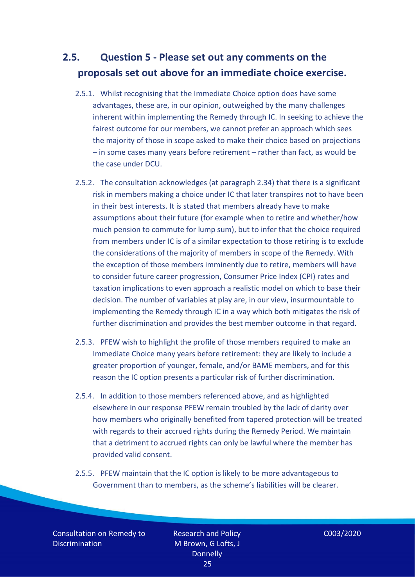### <span id="page-24-0"></span>**2.5. Question 5 - Please set out any comments on the proposals set out above for an immediate choice exercise.**

- 2.5.1. Whilst recognising that the Immediate Choice option does have some advantages, these are, in our opinion, outweighed by the many challenges inherent within implementing the Remedy through IC. In seeking to achieve the fairest outcome for our members, we cannot prefer an approach which sees the majority of those in scope asked to make their choice based on projections – in some cases many years before retirement – rather than fact, as would be the case under DCU.
- 2.5.2. The consultation acknowledges (at paragraph 2.34) that there is a significant risk in members making a choice under IC that later transpires not to have been in their best interests. It is stated that members already have to make assumptions about their future (for example when to retire and whether/how much pension to commute for lump sum), but to infer that the choice required from members under IC is of a similar expectation to those retiring is to exclude the considerations of the majority of members in scope of the Remedy. With the exception of those members imminently due to retire, members will have to consider future career progression, Consumer Price Index (CPI) rates and taxation implications to even approach a realistic model on which to base their decision. The number of variables at play are, in our view, insurmountable to implementing the Remedy through IC in a way which both mitigates the risk of further discrimination and provides the best member outcome in that regard.
- 2.5.3. PFEW wish to highlight the profile of those members required to make an Immediate Choice many years before retirement: they are likely to include a greater proportion of younger, female, and/or BAME members, and for this reason the IC option presents a particular risk of further discrimination.
- 2.5.4. In addition to those members referenced above, and as highlighted elsewhere in our response PFEW remain troubled by the lack of clarity over how members who originally benefited from tapered protection will be treated with regards to their accrued rights during the Remedy Period. We maintain that a detriment to accrued rights can only be lawful where the member has provided valid consent.
- 2.5.5. PFEW maintain that the IC option is likely to be more advantageous to Government than to members, as the scheme's liabilities will be clearer.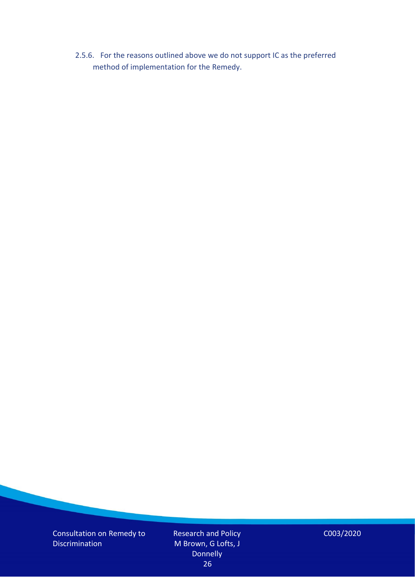2.5.6. For the reasons outlined above we do not support IC as the preferred method of implementation for the Remedy.

Consultation on Remedy to **Discrimination** 

Research and Policy M Brown, G Lofts, J **Donnelly** 26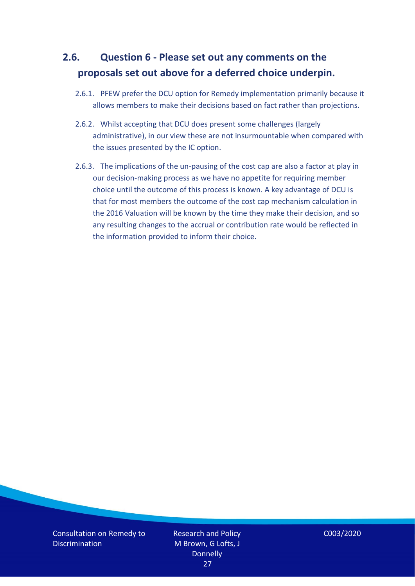## <span id="page-26-0"></span>**2.6. Question 6 - Please set out any comments on the proposals set out above for a deferred choice underpin.**

- 2.6.1. PFEW prefer the DCU option for Remedy implementation primarily because it allows members to make their decisions based on fact rather than projections.
- 2.6.2. Whilst accepting that DCU does present some challenges (largely administrative), in our view these are not insurmountable when compared with the issues presented by the IC option.
- 2.6.3. The implications of the un-pausing of the cost cap are also a factor at play in our decision-making process as we have no appetite for requiring member choice until the outcome of this process is known. A key advantage of DCU is that for most members the outcome of the cost cap mechanism calculation in the 2016 Valuation will be known by the time they make their decision, and so any resulting changes to the accrual or contribution rate would be reflected in the information provided to inform their choice.

Consultation on Remedy to **Discrimination**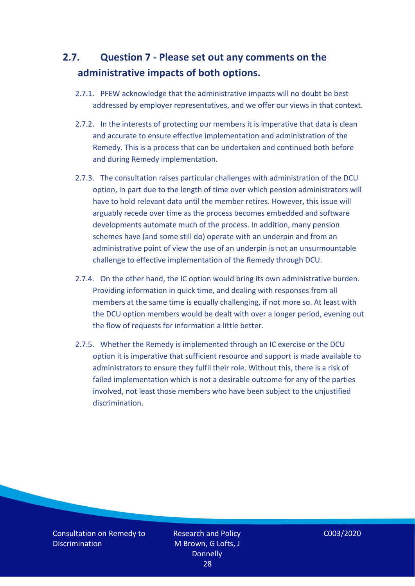## <span id="page-27-0"></span>**2.7. Question 7 - Please set out any comments on the administrative impacts of both options.**

- 2.7.1. PFEW acknowledge that the administrative impacts will no doubt be best addressed by employer representatives, and we offer our views in that context.
- 2.7.2. In the interests of protecting our members it is imperative that data is clean and accurate to ensure effective implementation and administration of the Remedy. This is a process that can be undertaken and continued both before and during Remedy implementation.
- 2.7.3. The consultation raises particular challenges with administration of the DCU option, in part due to the length of time over which pension administrators will have to hold relevant data until the member retires. However, this issue will arguably recede over time as the process becomes embedded and software developments automate much of the process. In addition, many pension schemes have (and some still do) operate with an underpin and from an administrative point of view the use of an underpin is not an unsurmountable challenge to effective implementation of the Remedy through DCU.
- 2.7.4. On the other hand, the IC option would bring its own administrative burden. Providing information in quick time, and dealing with responses from all members at the same time is equally challenging, if not more so. At least with the DCU option members would be dealt with over a longer period, evening out the flow of requests for information a little better.
- 2.7.5. Whether the Remedy is implemented through an IC exercise or the DCU option it is imperative that sufficient resource and support is made available to administrators to ensure they fulfil their role. Without this, there is a risk of failed implementation which is not a desirable outcome for any of the parties involved, not least those members who have been subject to the unjustified discrimination.

Consultation on Remedy to **Discrimination** 

Research and Policy M Brown, G Lofts, J **Donnelly** 28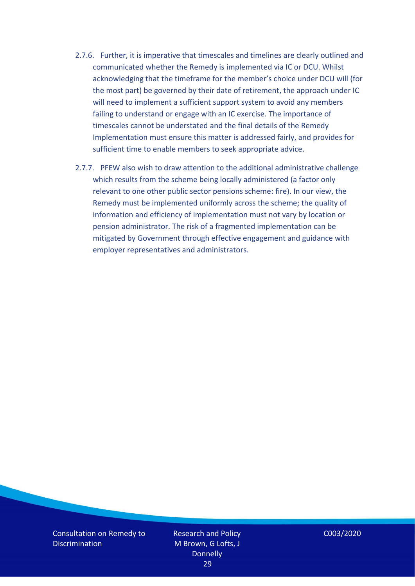- 2.7.6. Further, it is imperative that timescales and timelines are clearly outlined and communicated whether the Remedy is implemented via IC or DCU. Whilst acknowledging that the timeframe for the member's choice under DCU will (for the most part) be governed by their date of retirement, the approach under IC will need to implement a sufficient support system to avoid any members failing to understand or engage with an IC exercise. The importance of timescales cannot be understated and the final details of the Remedy Implementation must ensure this matter is addressed fairly, and provides for sufficient time to enable members to seek appropriate advice.
- 2.7.7. PFEW also wish to draw attention to the additional administrative challenge which results from the scheme being locally administered (a factor only relevant to one other public sector pensions scheme: fire). In our view, the Remedy must be implemented uniformly across the scheme; the quality of information and efficiency of implementation must not vary by location or pension administrator. The risk of a fragmented implementation can be mitigated by Government through effective engagement and guidance with employer representatives and administrators.

Consultation on Remedy to **Discrimination** 

Research and Policy M Brown, G Lofts, J **Donnelly** 29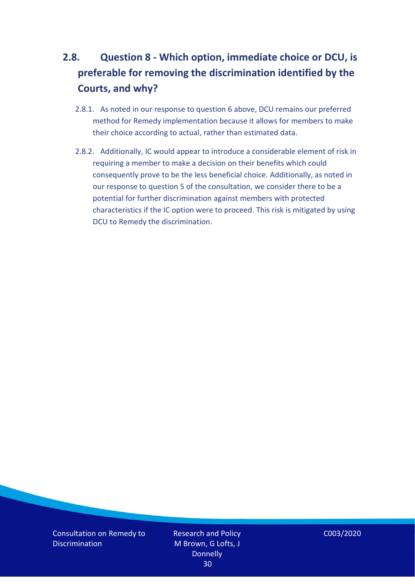# <span id="page-29-0"></span>**2.8. Question 8 - Which option, immediate choice or DCU, is preferable for removing the discrimination identified by the Courts, and why?**

- 2.8.1. As noted in our response to question 6 above, DCU remains our preferred method for Remedy implementation because it allows for members to make their choice according to actual, rather than estimated data.
- 2.8.2. Additionally, IC would appear to introduce a considerable element of risk in requiring a member to make a decision on their benefits which could consequently prove to be the less beneficial choice. Additionally, as noted in our response to question 5 of the consultation, we consider there to be a potential for further discrimination against members with protected characteristics if the IC option were to proceed. This risk is mitigated by using DCU to Remedy the discrimination.

Consultation on Remedy to **Discrimination** 

Research and Policy M Brown, G Lofts, J **Donnelly** 30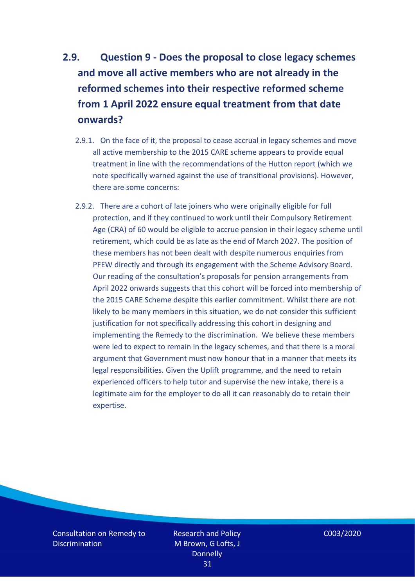# <span id="page-30-0"></span>**2.9. Question 9 - Does the proposal to close legacy schemes and move all active members who are not already in the reformed schemes into their respective reformed scheme from 1 April 2022 ensure equal treatment from that date onwards?**

- 2.9.1. On the face of it, the proposal to cease accrual in legacy schemes and move all active membership to the 2015 CARE scheme appears to provide equal treatment in line with the recommendations of the Hutton report (which we note specifically warned against the use of transitional provisions). However, there are some concerns:
- 2.9.2. There are a cohort of late joiners who were originally eligible for full protection, and if they continued to work until their Compulsory Retirement Age (CRA) of 60 would be eligible to accrue pension in their legacy scheme until retirement, which could be as late as the end of March 2027. The position of these members has not been dealt with despite numerous enquiries from PFEW directly and through its engagement with the Scheme Advisory Board. Our reading of the consultation's proposals for pension arrangements from April 2022 onwards suggests that this cohort will be forced into membership of the 2015 CARE Scheme despite this earlier commitment. Whilst there are not likely to be many members in this situation, we do not consider this sufficient justification for not specifically addressing this cohort in designing and implementing the Remedy to the discrimination. We believe these members were led to expect to remain in the legacy schemes, and that there is a moral argument that Government must now honour that in a manner that meets its legal responsibilities. Given the Uplift programme, and the need to retain experienced officers to help tutor and supervise the new intake, there is a legitimate aim for the employer to do all it can reasonably do to retain their expertise.

Consultation on Remedy to **Discrimination** 

Research and Policy M Brown, G Lofts, J **Donnelly** 31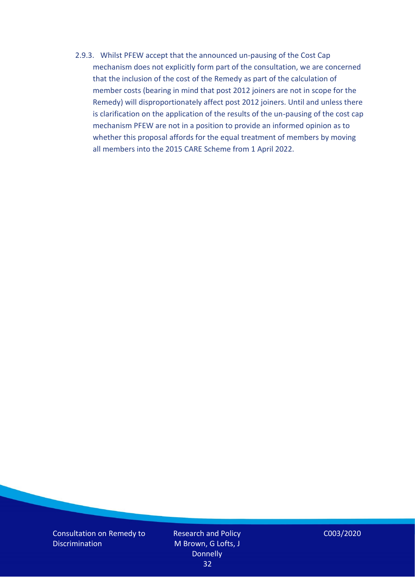2.9.3. Whilst PFEW accept that the announced un-pausing of the Cost Cap mechanism does not explicitly form part of the consultation, we are concerned that the inclusion of the cost of the Remedy as part of the calculation of member costs (bearing in mind that post 2012 joiners are not in scope for the Remedy) will disproportionately affect post 2012 joiners. Until and unless there is clarification on the application of the results of the un-pausing of the cost cap mechanism PFEW are not in a position to provide an informed opinion as to whether this proposal affords for the equal treatment of members by moving all members into the 2015 CARE Scheme from 1 April 2022.

Consultation on Remedy to **Discrimination** 

Research and Policy M Brown, G Lofts, J **Donnelly** 32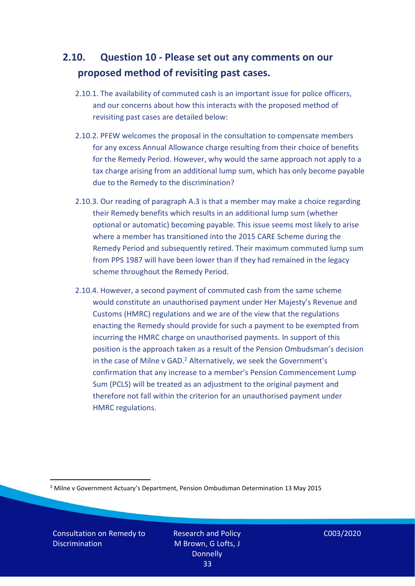### <span id="page-32-0"></span>**2.10. Question 10 - Please set out any comments on our proposed method of revisiting past cases.**

- 2.10.1. The availability of commuted cash is an important issue for police officers, and our concerns about how this interacts with the proposed method of revisiting past cases are detailed below:
- 2.10.2. PFEW welcomes the proposal in the consultation to compensate members for any excess Annual Allowance charge resulting from their choice of benefits for the Remedy Period. However, why would the same approach not apply to a tax charge arising from an additional lump sum, which has only become payable due to the Remedy to the discrimination?
- 2.10.3. Our reading of paragraph A.3 is that a member may make a choice regarding their Remedy benefits which results in an additional lump sum (whether optional or automatic) becoming payable. This issue seems most likely to arise where a member has transitioned into the 2015 CARE Scheme during the Remedy Period and subsequently retired. Their maximum commuted lump sum from PPS 1987 will have been lower than if they had remained in the legacy scheme throughout the Remedy Period.
- 2.10.4. However, a second payment of commuted cash from the same scheme would constitute an unauthorised payment under Her Majesty's Revenue and Customs (HMRC) regulations and we are of the view that the regulations enacting the Remedy should provide for such a payment to be exempted from incurring the HMRC charge on unauthorised payments. In support of this position is the approach taken as a result of the Pension Ombudsman's decision in the case of Milne v GAD.<sup>2</sup> Alternatively, we seek the Government's confirmation that any increase to a member's Pension Commencement Lump Sum (PCLS) will be treated as an adjustment to the original payment and therefore not fall within the criterion for an unauthorised payment under HMRC regulations.

<sup>2</sup> Milne v Government Actuary's Department, Pension Ombudsman Determination 13 May 2015

Consultation on Remedy to **Discrimination** 

Research and Policy M Brown, G Lofts, J **Donnelly** 33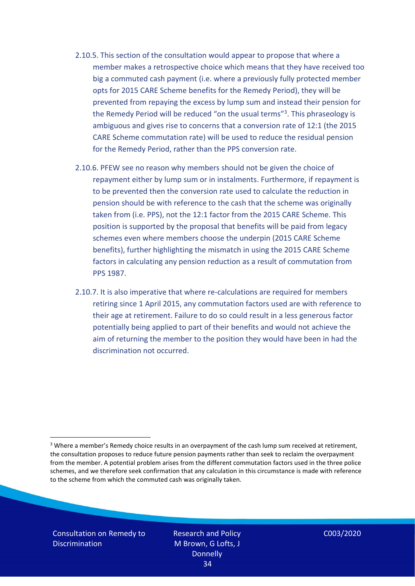- 2.10.5. This section of the consultation would appear to propose that where a member makes a retrospective choice which means that they have received too big a commuted cash payment (i.e. where a previously fully protected member opts for 2015 CARE Scheme benefits for the Remedy Period), they will be prevented from repaying the excess by lump sum and instead their pension for the Remedy Period will be reduced "on the usual terms"<sup>3</sup>. This phraseology is ambiguous and gives rise to concerns that a conversion rate of 12:1 (the 2015 CARE Scheme commutation rate) will be used to reduce the residual pension for the Remedy Period, rather than the PPS conversion rate.
- 2.10.6. PFEW see no reason why members should not be given the choice of repayment either by lump sum or in instalments. Furthermore, if repayment is to be prevented then the conversion rate used to calculate the reduction in pension should be with reference to the cash that the scheme was originally taken from (i.e. PPS), not the 12:1 factor from the 2015 CARE Scheme. This position is supported by the proposal that benefits will be paid from legacy schemes even where members choose the underpin (2015 CARE Scheme benefits), further highlighting the mismatch in using the 2015 CARE Scheme factors in calculating any pension reduction as a result of commutation from PPS 1987.
- 2.10.7. It is also imperative that where re-calculations are required for members retiring since 1 April 2015, any commutation factors used are with reference to their age at retirement. Failure to do so could result in a less generous factor potentially being applied to part of their benefits and would not achieve the aim of returning the member to the position they would have been in had the discrimination not occurred.

Consultation on Remedy to **Discrimination** 

Research and Policy M Brown, G Lofts, J **Donnelly** 34

<sup>&</sup>lt;sup>3</sup> Where a member's Remedy choice results in an overpayment of the cash lump sum received at retirement, the consultation proposes to reduce future pension payments rather than seek to reclaim the overpayment from the member. A potential problem arises from the different commutation factors used in the three police schemes, and we therefore seek confirmation that any calculation in this circumstance is made with reference to the scheme from which the commuted cash was originally taken.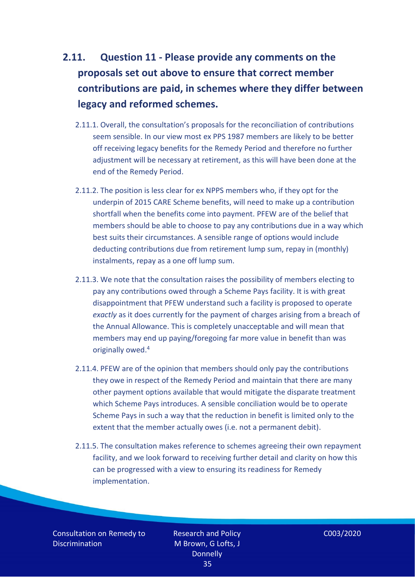# <span id="page-34-0"></span>**2.11. Question 11 - Please provide any comments on the proposals set out above to ensure that correct member contributions are paid, in schemes where they differ between legacy and reformed schemes.**

- 2.11.1. Overall, the consultation's proposals for the reconciliation of contributions seem sensible. In our view most ex PPS 1987 members are likely to be better off receiving legacy benefits for the Remedy Period and therefore no further adjustment will be necessary at retirement, as this will have been done at the end of the Remedy Period.
- 2.11.2. The position is less clear for ex NPPS members who, if they opt for the underpin of 2015 CARE Scheme benefits, will need to make up a contribution shortfall when the benefits come into payment. PFEW are of the belief that members should be able to choose to pay any contributions due in a way which best suits their circumstances. A sensible range of options would include deducting contributions due from retirement lump sum, repay in (monthly) instalments, repay as a one off lump sum.
- 2.11.3. We note that the consultation raises the possibility of members electing to pay any contributions owed through a Scheme Pays facility. It is with great disappointment that PFEW understand such a facility is proposed to operate *exactly* as it does currently for the payment of charges arising from a breach of the Annual Allowance. This is completely unacceptable and will mean that members may end up paying/foregoing far more value in benefit than was originally owed. 4
- 2.11.4. PFEW are of the opinion that members should only pay the contributions they owe in respect of the Remedy Period and maintain that there are many other payment options available that would mitigate the disparate treatment which Scheme Pays introduces. A sensible conciliation would be to operate Scheme Pays in such a way that the reduction in benefit is limited only to the extent that the member actually owes (i.e. not a permanent debit).
- 2.11.5. The consultation makes reference to schemes agreeing their own repayment facility, and we look forward to receiving further detail and clarity on how this can be progressed with a view to ensuring its readiness for Remedy implementation.

Consultation on Remedy to **Discrimination** 

Research and Policy M Brown, G Lofts, J **Donnelly** 35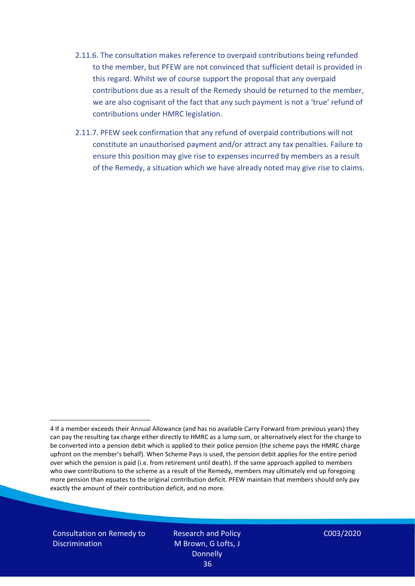- 2.11.6. The consultation makes reference to overpaid contributions being refunded to the member, but PFEW are not convinced that sufficient detail is provided in this regard. Whilst we of course support the proposal that any overpaid contributions due as a result of the Remedy should be returned to the member, we are also cognisant of the fact that any such payment is not a 'true' refund of contributions under HMRC legislation.
- 2.11.7. PFEW seek confirmation that any refund of overpaid contributions will not constitute an unauthorised payment and/or attract any tax penalties. Failure to ensure this position may give rise to expenses incurred by members as a result of the Remedy, a situation which we have already noted may give rise to claims.

Consultation on Remedy to **Discrimination** 

<sup>4</sup> If a member exceeds their Annual Allowance (and has no available Carry Forward from previous years) they can pay the resulting tax charge either directly to HMRC as a lump sum, or alternatively elect for the charge to be converted into a pension debit which is applied to their police pension (the scheme pays the HMRC charge upfront on the member's behalf). When Scheme Pays is used, the pension debit applies for the entire period over which the pension is paid (i.e. from retirement until death). If the same approach applied to members who owe contributions to the scheme as a result of the Remedy, members may ultimately end up foregoing more pension than equates to the original contribution deficit. PFEW maintain that members should only pay exactly the amount of their contribution deficit, and no more.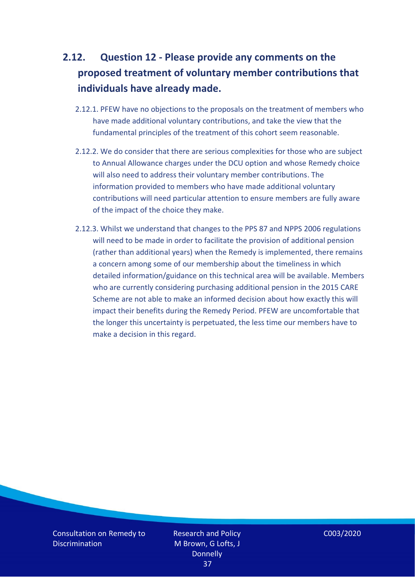# <span id="page-36-0"></span>**2.12. Question 12 - Please provide any comments on the proposed treatment of voluntary member contributions that individuals have already made.**

- 2.12.1. PFEW have no objections to the proposals on the treatment of members who have made additional voluntary contributions, and take the view that the fundamental principles of the treatment of this cohort seem reasonable.
- 2.12.2. We do consider that there are serious complexities for those who are subject to Annual Allowance charges under the DCU option and whose Remedy choice will also need to address their voluntary member contributions. The information provided to members who have made additional voluntary contributions will need particular attention to ensure members are fully aware of the impact of the choice they make.
- 2.12.3. Whilst we understand that changes to the PPS 87 and NPPS 2006 regulations will need to be made in order to facilitate the provision of additional pension (rather than additional years) when the Remedy is implemented, there remains a concern among some of our membership about the timeliness in which detailed information/guidance on this technical area will be available. Members who are currently considering purchasing additional pension in the 2015 CARE Scheme are not able to make an informed decision about how exactly this will impact their benefits during the Remedy Period. PFEW are uncomfortable that the longer this uncertainty is perpetuated, the less time our members have to make a decision in this regard.

Consultation on Remedy to **Discrimination** 

Research and Policy M Brown, G Lofts, J **Donnelly** 37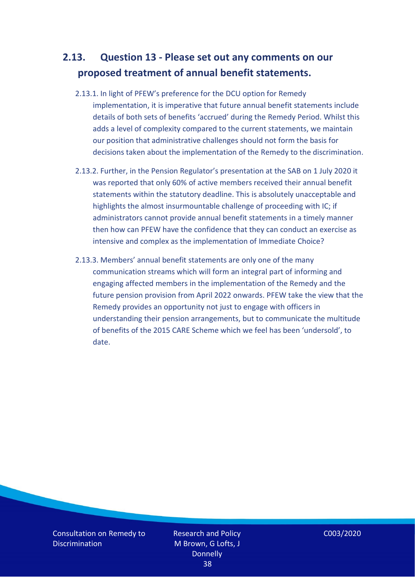## <span id="page-37-0"></span>**2.13. Question 13 - Please set out any comments on our proposed treatment of annual benefit statements.**

- 2.13.1. In light of PFEW's preference for the DCU option for Remedy implementation, it is imperative that future annual benefit statements include details of both sets of benefits 'accrued' during the Remedy Period. Whilst this adds a level of complexity compared to the current statements, we maintain our position that administrative challenges should not form the basis for decisions taken about the implementation of the Remedy to the discrimination.
- 2.13.2. Further, in the Pension Regulator's presentation at the SAB on 1 July 2020 it was reported that only 60% of active members received their annual benefit statements within the statutory deadline. This is absolutely unacceptable and highlights the almost insurmountable challenge of proceeding with IC; if administrators cannot provide annual benefit statements in a timely manner then how can PFEW have the confidence that they can conduct an exercise as intensive and complex as the implementation of Immediate Choice?
- 2.13.3. Members' annual benefit statements are only one of the many communication streams which will form an integral part of informing and engaging affected members in the implementation of the Remedy and the future pension provision from April 2022 onwards. PFEW take the view that the Remedy provides an opportunity not just to engage with officers in understanding their pension arrangements, but to communicate the multitude of benefits of the 2015 CARE Scheme which we feel has been 'undersold', to date.

Consultation on Remedy to **Discrimination** 

Research and Policy M Brown, G Lofts, J **Donnelly** 38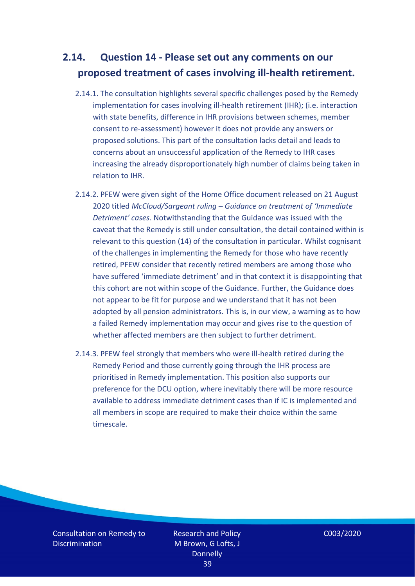## <span id="page-38-0"></span>**2.14. Question 14 - Please set out any comments on our proposed treatment of cases involving ill-health retirement.**

- 2.14.1. The consultation highlights several specific challenges posed by the Remedy implementation for cases involving ill-health retirement (IHR); (i.e. interaction with state benefits, difference in IHR provisions between schemes, member consent to re-assessment) however it does not provide any answers or proposed solutions. This part of the consultation lacks detail and leads to concerns about an unsuccessful application of the Remedy to IHR cases increasing the already disproportionately high number of claims being taken in relation to IHR.
- 2.14.2. PFEW were given sight of the Home Office document released on 21 August 2020 titled *McCloud/Sargeant ruling – Guidance on treatment of 'Immediate Detriment' cases.* Notwithstanding that the Guidance was issued with the caveat that the Remedy is still under consultation, the detail contained within is relevant to this question (14) of the consultation in particular. Whilst cognisant of the challenges in implementing the Remedy for those who have recently retired, PFEW consider that recently retired members are among those who have suffered 'immediate detriment' and in that context it is disappointing that this cohort are not within scope of the Guidance. Further, the Guidance does not appear to be fit for purpose and we understand that it has not been adopted by all pension administrators. This is, in our view, a warning as to how a failed Remedy implementation may occur and gives rise to the question of whether affected members are then subject to further detriment.
- 2.14.3. PFEW feel strongly that members who were ill-health retired during the Remedy Period and those currently going through the IHR process are prioritised in Remedy implementation. This position also supports our preference for the DCU option, where inevitably there will be more resource available to address immediate detriment cases than if IC is implemented and all members in scope are required to make their choice within the same timescale.

Consultation on Remedy to **Discrimination**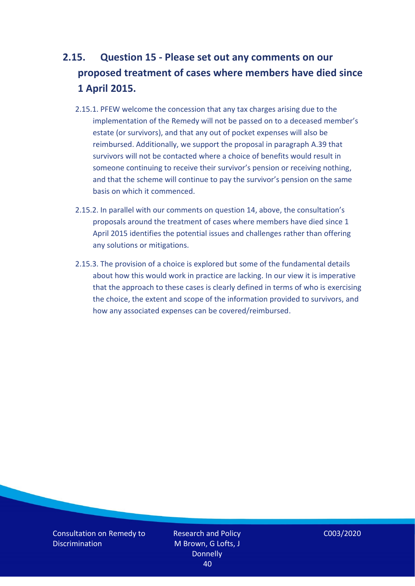## <span id="page-39-0"></span>**2.15. Question 15 - Please set out any comments on our proposed treatment of cases where members have died since 1 April 2015.**

- 2.15.1. PFEW welcome the concession that any tax charges arising due to the implementation of the Remedy will not be passed on to a deceased member's estate (or survivors), and that any out of pocket expenses will also be reimbursed. Additionally, we support the proposal in paragraph A.39 that survivors will not be contacted where a choice of benefits would result in someone continuing to receive their survivor's pension or receiving nothing, and that the scheme will continue to pay the survivor's pension on the same basis on which it commenced.
- 2.15.2. In parallel with our comments on question 14, above, the consultation's proposals around the treatment of cases where members have died since 1 April 2015 identifies the potential issues and challenges rather than offering any solutions or mitigations.
- 2.15.3. The provision of a choice is explored but some of the fundamental details about how this would work in practice are lacking. In our view it is imperative that the approach to these cases is clearly defined in terms of who is exercising the choice, the extent and scope of the information provided to survivors, and how any associated expenses can be covered/reimbursed.

Consultation on Remedy to **Discrimination** 

Research and Policy M Brown, G Lofts, J **Donnelly** 40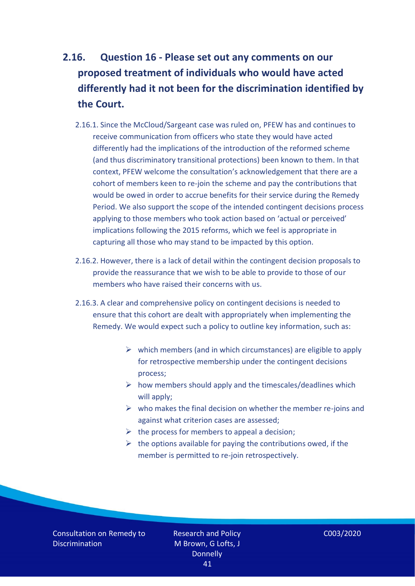# <span id="page-40-0"></span>**2.16. Question 16 - Please set out any comments on our proposed treatment of individuals who would have acted differently had it not been for the discrimination identified by the Court.**

- 2.16.1. Since the McCloud/Sargeant case was ruled on, PFEW has and continues to receive communication from officers who state they would have acted differently had the implications of the introduction of the reformed scheme (and thus discriminatory transitional protections) been known to them. In that context, PFEW welcome the consultation's acknowledgement that there are a cohort of members keen to re-join the scheme and pay the contributions that would be owed in order to accrue benefits for their service during the Remedy Period. We also support the scope of the intended contingent decisions process applying to those members who took action based on 'actual or perceived' implications following the 2015 reforms, which we feel is appropriate in capturing all those who may stand to be impacted by this option.
- 2.16.2. However, there is a lack of detail within the contingent decision proposals to provide the reassurance that we wish to be able to provide to those of our members who have raised their concerns with us.
- 2.16.3. A clear and comprehensive policy on contingent decisions is needed to ensure that this cohort are dealt with appropriately when implementing the Remedy. We would expect such a policy to outline key information, such as:
	- $\triangleright$  which members (and in which circumstances) are eligible to apply for retrospective membership under the contingent decisions process;
	- $\triangleright$  how members should apply and the timescales/deadlines which will apply;
	- $\triangleright$  who makes the final decision on whether the member re-joins and against what criterion cases are assessed;
	- $\triangleright$  the process for members to appeal a decision;
	- $\triangleright$  the options available for paying the contributions owed, if the member is permitted to re-join retrospectively.

Consultation on Remedy to **Discrimination**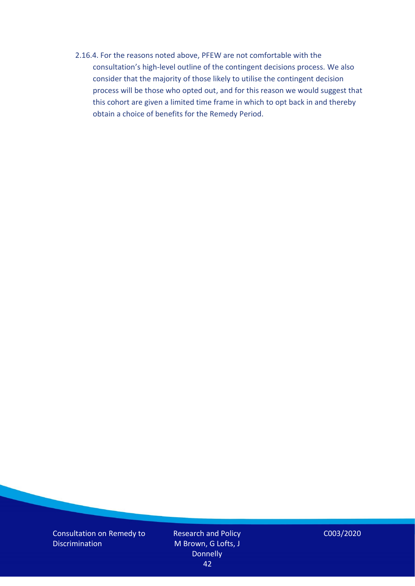2.16.4. For the reasons noted above, PFEW are not comfortable with the consultation's high-level outline of the contingent decisions process. We also consider that the majority of those likely to utilise the contingent decision process will be those who opted out, and for this reason we would suggest that this cohort are given a limited time frame in which to opt back in and thereby obtain a choice of benefits for the Remedy Period.

Consultation on Remedy to **Discrimination** 

Research and Policy M Brown, G Lofts, J **Donnelly** 42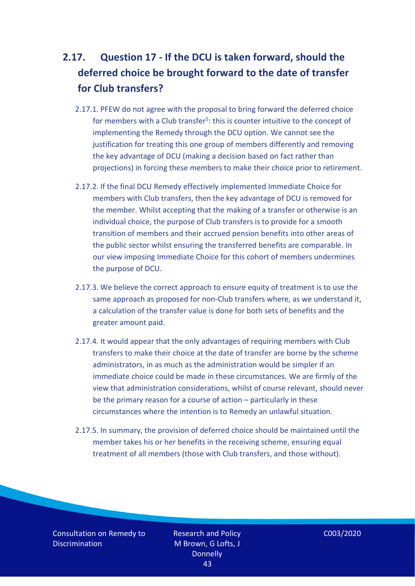# <span id="page-42-0"></span>**2.17. Question 17 - If the DCU is taken forward, should the deferred choice be brought forward to the date of transfer for Club transfers?**

- 2.17.1. PFEW do not agree with the proposal to bring forward the deferred choice for members with a Club transfer<sup>5</sup>: this is counter intuitive to the concept of implementing the Remedy through the DCU option. We cannot see the justification for treating this one group of members differently and removing the key advantage of DCU (making a decision based on fact rather than projections) in forcing these members to make their choice prior to retirement.
- 2.17.2. If the final DCU Remedy effectively implemented Immediate Choice for members with Club transfers, then the key advantage of DCU is removed for the member. Whilst accepting that the making of a transfer or otherwise is an individual choice, the purpose of Club transfers is to provide for a smooth transition of members and their accrued pension benefits into other areas of the public sector whilst ensuring the transferred benefits are comparable. In our view imposing Immediate Choice for this cohort of members undermines the purpose of DCU.
- 2.17.3. We believe the correct approach to ensure equity of treatment is to use the same approach as proposed for non-Club transfers where, as we understand it, a calculation of the transfer value is done for both sets of benefits and the greater amount paid.
- 2.17.4. It would appear that the only advantages of requiring members with Club transfers to make their choice at the date of transfer are borne by the scheme administrators, in as much as the administration would be simpler if an immediate choice could be made in these circumstances. We are firmly of the view that administration considerations, whilst of course relevant, should never be the primary reason for a course of action – particularly in these circumstances where the intention is to Remedy an unlawful situation.
- 2.17.5. In summary, the provision of deferred choice should be maintained until the member takes his or her benefits in the receiving scheme, ensuring equal treatment of all members (those with Club transfers, and those without).

Consultation on Remedy to **Discrimination**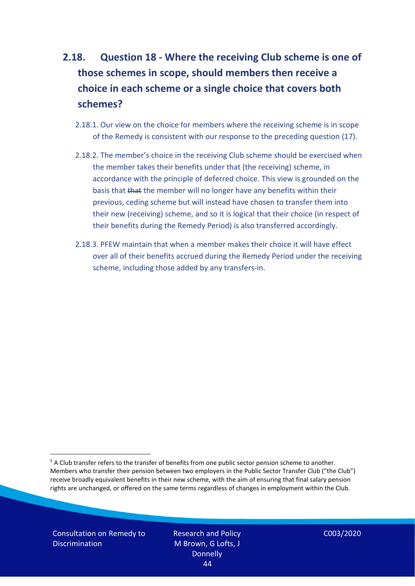# <span id="page-43-0"></span>**2.18. Question 18 - Where the receiving Club scheme is one of those schemes in scope, should members then receive a choice in each scheme or a single choice that covers both schemes?**

- 2.18.1. Our view on the choice for members where the receiving scheme is in scope of the Remedy is consistent with our response to the preceding question (17).
- 2.18.2. The member's choice in the receiving Club scheme should be exercised when the member takes their benefits under that (the receiving) scheme, in accordance with the principle of deferred choice. This view is grounded on the basis that that the member will no longer have any benefits within their previous, ceding scheme but will instead have chosen to transfer them into their new (receiving) scheme, and so it is logical that their choice (in respect of their benefits during the Remedy Period) is also transferred accordingly.
- 2.18.3. PFEW maintain that when a member makes their choice it will have effect over all of their benefits accrued during the Remedy Period under the receiving scheme, including those added by any transfers-in.

Consultation on Remedy to **Discrimination** 

Research and Policy M Brown, G Lofts, J **Donnelly** 44

<sup>&</sup>lt;sup>5</sup> A Club transfer refers to the transfer of benefits from one public sector pension scheme to another. Members who transfer their pension between two employers in the Public Sector Transfer Club ("the Club") receive broadly equivalent benefits in their new scheme, with the aim of ensuring that final salary pension rights are unchanged, or offered on the same terms regardless of changes in employment within the Club.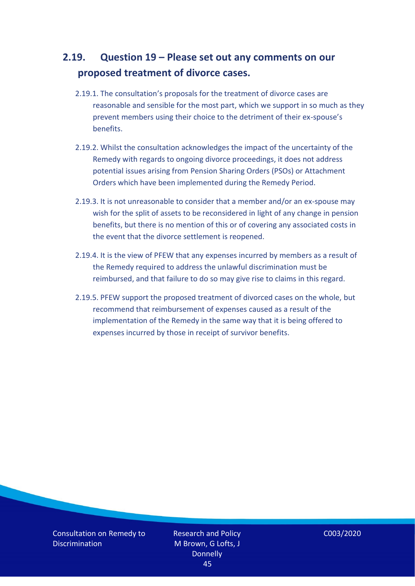### <span id="page-44-0"></span>**2.19. Question 19 – Please set out any comments on our proposed treatment of divorce cases.**

- 2.19.1. The consultation's proposals for the treatment of divorce cases are reasonable and sensible for the most part, which we support in so much as they prevent members using their choice to the detriment of their ex-spouse's benefits.
- 2.19.2. Whilst the consultation acknowledges the impact of the uncertainty of the Remedy with regards to ongoing divorce proceedings, it does not address potential issues arising from Pension Sharing Orders (PSOs) or Attachment Orders which have been implemented during the Remedy Period.
- 2.19.3. It is not unreasonable to consider that a member and/or an ex-spouse may wish for the split of assets to be reconsidered in light of any change in pension benefits, but there is no mention of this or of covering any associated costs in the event that the divorce settlement is reopened.
- 2.19.4. It is the view of PFEW that any expenses incurred by members as a result of the Remedy required to address the unlawful discrimination must be reimbursed, and that failure to do so may give rise to claims in this regard.
- 2.19.5. PFEW support the proposed treatment of divorced cases on the whole, but recommend that reimbursement of expenses caused as a result of the implementation of the Remedy in the same way that it is being offered to expenses incurred by those in receipt of survivor benefits.

Consultation on Remedy to **Discrimination** 

Research and Policy M Brown, G Lofts, J **Donnelly** 45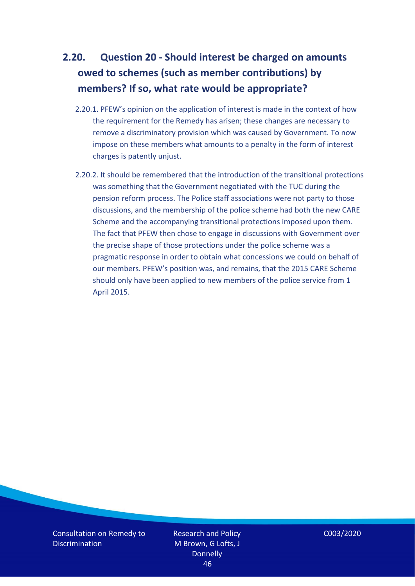## <span id="page-45-0"></span>**2.20. Question 20 - Should interest be charged on amounts owed to schemes (such as member contributions) by members? If so, what rate would be appropriate?**

- 2.20.1. PFEW's opinion on the application of interest is made in the context of how the requirement for the Remedy has arisen; these changes are necessary to remove a discriminatory provision which was caused by Government. To now impose on these members what amounts to a penalty in the form of interest charges is patently unjust.
- 2.20.2. It should be remembered that the introduction of the transitional protections was something that the Government negotiated with the TUC during the pension reform process. The Police staff associations were not party to those discussions, and the membership of the police scheme had both the new CARE Scheme and the accompanying transitional protections imposed upon them. The fact that PFEW then chose to engage in discussions with Government over the precise shape of those protections under the police scheme was a pragmatic response in order to obtain what concessions we could on behalf of our members. PFEW's position was, and remains, that the 2015 CARE Scheme should only have been applied to new members of the police service from 1 April 2015.

Consultation on Remedy to **Discrimination** 

Research and Policy M Brown, G Lofts, J **Donnelly** 46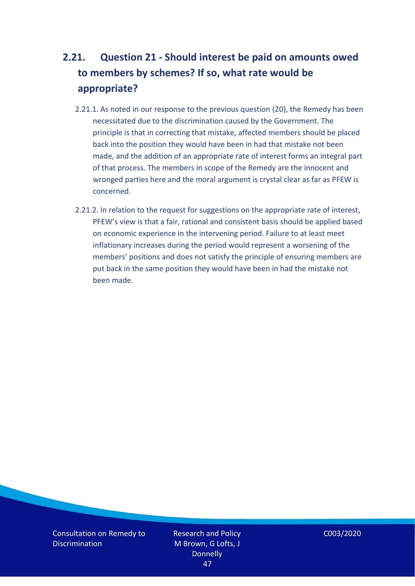# <span id="page-46-0"></span>**2.21. Question 21 - Should interest be paid on amounts owed to members by schemes? If so, what rate would be appropriate?**

- 2.21.1. As noted in our response to the previous question (20), the Remedy has been necessitated due to the discrimination caused by the Government. The principle is that in correcting that mistake, affected members should be placed back into the position they would have been in had that mistake not been made, and the addition of an appropriate rate of interest forms an integral part of that process. The members in scope of the Remedy are the innocent and wronged parties here and the moral argument is crystal clear as far as PFEW is concerned.
- 2.21.2. In relation to the request for suggestions on the appropriate rate of interest, PFEW's view is that a fair, rational and consistent basis should be applied based on economic experience in the intervening period. Failure to at least meet inflationary increases during the period would represent a worsening of the members' positions and does not satisfy the principle of ensuring members are put back in the same position they would have been in had the mistake not been made.

Consultation on Remedy to **Discrimination** 

Research and Policy M Brown, G Lofts, J **Donnelly** 47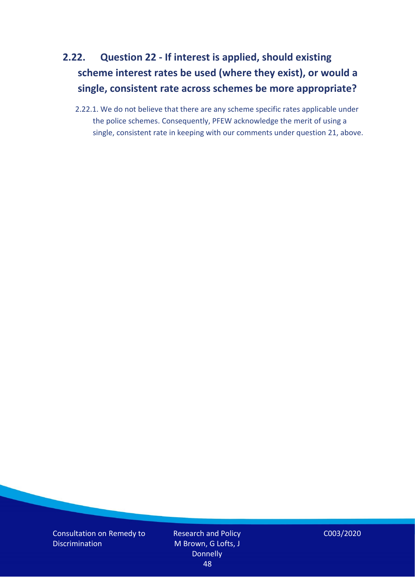# <span id="page-47-0"></span>**2.22. Question 22 - If interest is applied, should existing scheme interest rates be used (where they exist), or would a single, consistent rate across schemes be more appropriate?**

2.22.1. We do not believe that there are any scheme specific rates applicable under the police schemes. Consequently, PFEW acknowledge the merit of using a single, consistent rate in keeping with our comments under question 21, above.

Consultation on Remedy to Discrimination

Research and Policy M Brown, G Lofts, J Donnelly 48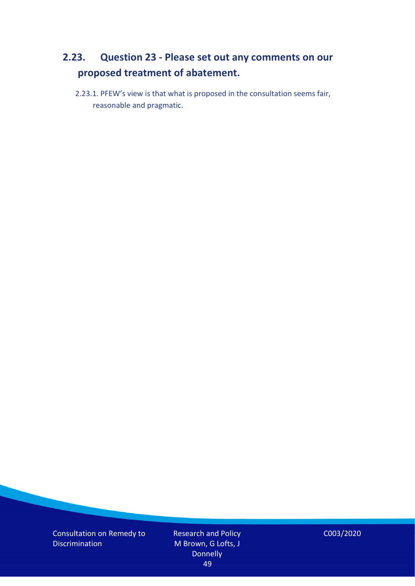### <span id="page-48-0"></span>**2.23. Question 23 - Please set out any comments on our proposed treatment of abatement.**

2.23.1. PFEW's view is that what is proposed in the consultation seems fair, reasonable and pragmatic.

Consultation on Remedy to Discrimination

Research and Policy M Brown, G Lofts, J Donnelly 49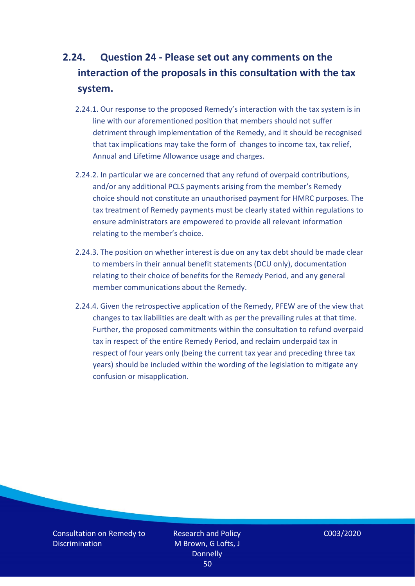# <span id="page-49-0"></span>**2.24. Question 24 - Please set out any comments on the interaction of the proposals in this consultation with the tax system.**

- 2.24.1. Our response to the proposed Remedy's interaction with the tax system is in line with our aforementioned position that members should not suffer detriment through implementation of the Remedy, and it should be recognised that tax implications may take the form of changes to income tax, tax relief, Annual and Lifetime Allowance usage and charges.
- 2.24.2. In particular we are concerned that any refund of overpaid contributions, and/or any additional PCLS payments arising from the member's Remedy choice should not constitute an unauthorised payment for HMRC purposes. The tax treatment of Remedy payments must be clearly stated within regulations to ensure administrators are empowered to provide all relevant information relating to the member's choice.
- 2.24.3. The position on whether interest is due on any tax debt should be made clear to members in their annual benefit statements (DCU only), documentation relating to their choice of benefits for the Remedy Period, and any general member communications about the Remedy.
- 2.24.4. Given the retrospective application of the Remedy, PFEW are of the view that changes to tax liabilities are dealt with as per the prevailing rules at that time. Further, the proposed commitments within the consultation to refund overpaid tax in respect of the entire Remedy Period, and reclaim underpaid tax in respect of four years only (being the current tax year and preceding three tax years) should be included within the wording of the legislation to mitigate any confusion or misapplication.

Consultation on Remedy to **Discrimination** 

Research and Policy M Brown, G Lofts, J **Donnelly** 50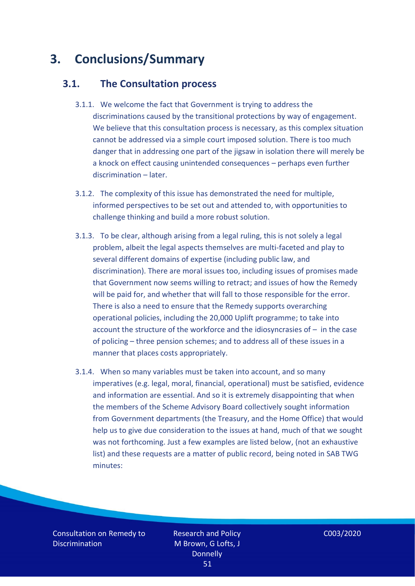# <span id="page-50-0"></span>**3. Conclusions/Summary**

### <span id="page-50-1"></span>**3.1. The Consultation process**

- 3.1.1. We welcome the fact that Government is trying to address the discriminations caused by the transitional protections by way of engagement. We believe that this consultation process is necessary, as this complex situation cannot be addressed via a simple court imposed solution. There is too much danger that in addressing one part of the jigsaw in isolation there will merely be a knock on effect causing unintended consequences – perhaps even further discrimination – later.
- 3.1.2. The complexity of this issue has demonstrated the need for multiple, informed perspectives to be set out and attended to, with opportunities to challenge thinking and build a more robust solution.
- 3.1.3. To be clear, although arising from a legal ruling, this is not solely a legal problem, albeit the legal aspects themselves are multi-faceted and play to several different domains of expertise (including public law, and discrimination). There are moral issues too, including issues of promises made that Government now seems willing to retract; and issues of how the Remedy will be paid for, and whether that will fall to those responsible for the error. There is also a need to ensure that the Remedy supports overarching operational policies, including the 20,000 Uplift programme; to take into account the structure of the workforce and the idiosyncrasies of – in the case of policing – three pension schemes; and to address all of these issues in a manner that places costs appropriately.
- 3.1.4. When so many variables must be taken into account, and so many imperatives (e.g. legal, moral, financial, operational) must be satisfied, evidence and information are essential. And so it is extremely disappointing that when the members of the Scheme Advisory Board collectively sought information from Government departments (the Treasury, and the Home Office) that would help us to give due consideration to the issues at hand, much of that we sought was not forthcoming. Just a few examples are listed below, (not an exhaustive list) and these requests are a matter of public record, being noted in SAB TWG minutes:

Consultation on Remedy to **Discrimination**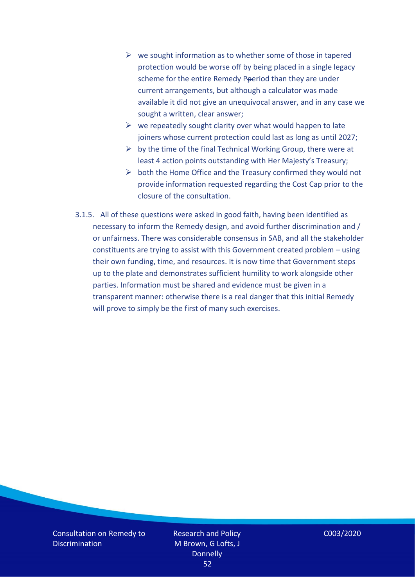- $\triangleright$  we sought information as to whether some of those in tapered protection would be worse off by being placed in a single legacy scheme for the entire Remedy Pperiod than they are under current arrangements, but although a calculator was made available it did not give an unequivocal answer, and in any case we sought a written, clear answer;
- $\triangleright$  we repeatedly sought clarity over what would happen to late joiners whose current protection could last as long as until 2027;
- $\triangleright$  by the time of the final Technical Working Group, there were at least 4 action points outstanding with Her Majesty's Treasury;
- $\triangleright$  both the Home Office and the Treasury confirmed they would not provide information requested regarding the Cost Cap prior to the closure of the consultation.
- 3.1.5. All of these questions were asked in good faith, having been identified as necessary to inform the Remedy design, and avoid further discrimination and / or unfairness. There was considerable consensus in SAB, and all the stakeholder constituents are trying to assist with this Government created problem – using their own funding, time, and resources. It is now time that Government steps up to the plate and demonstrates sufficient humility to work alongside other parties. Information must be shared and evidence must be given in a transparent manner: otherwise there is a real danger that this initial Remedy will prove to simply be the first of many such exercises.

Consultation on Remedy to **Discrimination** 

Research and Policy M Brown, G Lofts, J **Donnelly** 52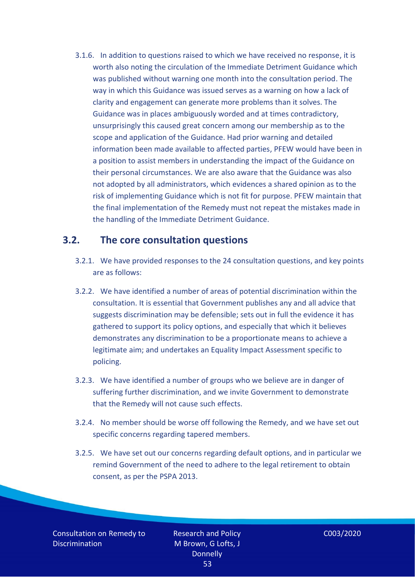3.1.6. In addition to questions raised to which we have received no response, it is worth also noting the circulation of the Immediate Detriment Guidance which was published without warning one month into the consultation period. The way in which this Guidance was issued serves as a warning on how a lack of clarity and engagement can generate more problems than it solves. The Guidance was in places ambiguously worded and at times contradictory, unsurprisingly this caused great concern among our membership as to the scope and application of the Guidance. Had prior warning and detailed information been made available to affected parties, PFEW would have been in a position to assist members in understanding the impact of the Guidance on their personal circumstances. We are also aware that the Guidance was also not adopted by all administrators, which evidences a shared opinion as to the risk of implementing Guidance which is not fit for purpose. PFEW maintain that the final implementation of the Remedy must not repeat the mistakes made in the handling of the Immediate Detriment Guidance.

#### <span id="page-52-0"></span>**3.2. The core consultation questions**

- 3.2.1. We have provided responses to the 24 consultation questions, and key points are as follows:
- 3.2.2. We have identified a number of areas of potential discrimination within the consultation. It is essential that Government publishes any and all advice that suggests discrimination may be defensible; sets out in full the evidence it has gathered to support its policy options, and especially that which it believes demonstrates any discrimination to be a proportionate means to achieve a legitimate aim; and undertakes an Equality Impact Assessment specific to policing.
- 3.2.3. We have identified a number of groups who we believe are in danger of suffering further discrimination, and we invite Government to demonstrate that the Remedy will not cause such effects.
- 3.2.4. No member should be worse off following the Remedy, and we have set out specific concerns regarding tapered members.
- 3.2.5. We have set out our concerns regarding default options, and in particular we remind Government of the need to adhere to the legal retirement to obtain consent, as per the PSPA 2013.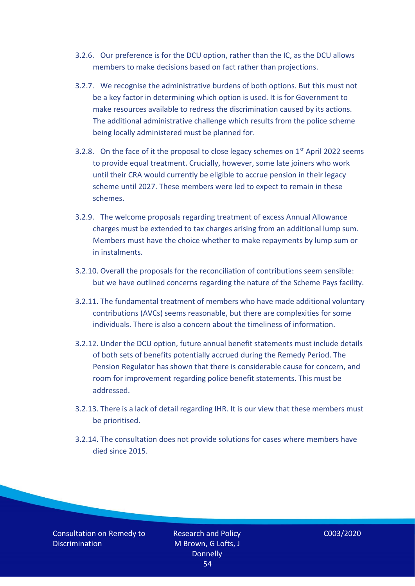- 3.2.6. Our preference is for the DCU option, rather than the IC, as the DCU allows members to make decisions based on fact rather than projections.
- 3.2.7. We recognise the administrative burdens of both options. But this must not be a key factor in determining which option is used. It is for Government to make resources available to redress the discrimination caused by its actions. The additional administrative challenge which results from the police scheme being locally administered must be planned for.
- 3.2.8. On the face of it the proposal to close legacy schemes on  $1<sup>st</sup>$  April 2022 seems to provide equal treatment. Crucially, however, some late joiners who work until their CRA would currently be eligible to accrue pension in their legacy scheme until 2027. These members were led to expect to remain in these schemes.
- 3.2.9. The welcome proposals regarding treatment of excess Annual Allowance charges must be extended to tax charges arising from an additional lump sum. Members must have the choice whether to make repayments by lump sum or in instalments.
- 3.2.10. Overall the proposals for the reconciliation of contributions seem sensible: but we have outlined concerns regarding the nature of the Scheme Pays facility.
- 3.2.11. The fundamental treatment of members who have made additional voluntary contributions (AVCs) seems reasonable, but there are complexities for some individuals. There is also a concern about the timeliness of information.
- 3.2.12. Under the DCU option, future annual benefit statements must include details of both sets of benefits potentially accrued during the Remedy Period. The Pension Regulator has shown that there is considerable cause for concern, and room for improvement regarding police benefit statements. This must be addressed.
- 3.2.13. There is a lack of detail regarding IHR. It is our view that these members must be prioritised.
- 3.2.14. The consultation does not provide solutions for cases where members have died since 2015.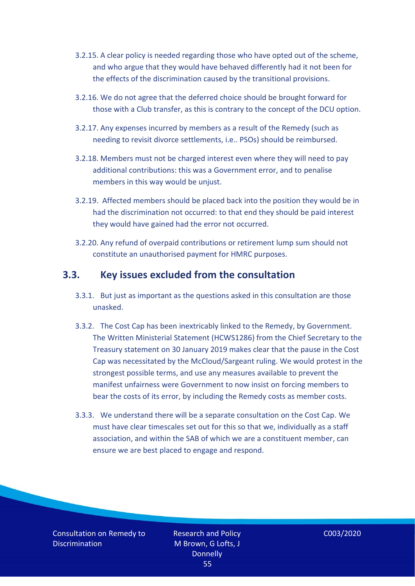- 3.2.15. A clear policy is needed regarding those who have opted out of the scheme, and who argue that they would have behaved differently had it not been for the effects of the discrimination caused by the transitional provisions.
- 3.2.16. We do not agree that the deferred choice should be brought forward for those with a Club transfer, as this is contrary to the concept of the DCU option.
- 3.2.17. Any expenses incurred by members as a result of the Remedy (such as needing to revisit divorce settlements, i.e.. PSOs) should be reimbursed.
- 3.2.18. Members must not be charged interest even where they will need to pay additional contributions: this was a Government error, and to penalise members in this way would be unjust.
- 3.2.19. Affected members should be placed back into the position they would be in had the discrimination not occurred: to that end they should be paid interest they would have gained had the error not occurred.
- 3.2.20. Any refund of overpaid contributions or retirement lump sum should not constitute an unauthorised payment for HMRC purposes.

#### <span id="page-54-0"></span>**3.3. Key issues excluded from the consultation**

- 3.3.1. But just as important as the questions asked in this consultation are those unasked.
- 3.3.2. The Cost Cap has been inextricably linked to the Remedy, by Government. The Written Ministerial Statement (HCWS1286) from the Chief Secretary to the Treasury statement on 30 January 2019 makes clear that the pause in the Cost Cap was necessitated by the McCloud/Sargeant ruling. We would protest in the strongest possible terms, and use any measures available to prevent the manifest unfairness were Government to now insist on forcing members to bear the costs of its error, by including the Remedy costs as member costs.
- 3.3.3. We understand there will be a separate consultation on the Cost Cap. We must have clear timescales set out for this so that we, individually as a staff association, and within the SAB of which we are a constituent member, can ensure we are best placed to engage and respond.

Consultation on Remedy to **Discrimination** 

Research and Policy M Brown, G Lofts, J **Donnelly** 55